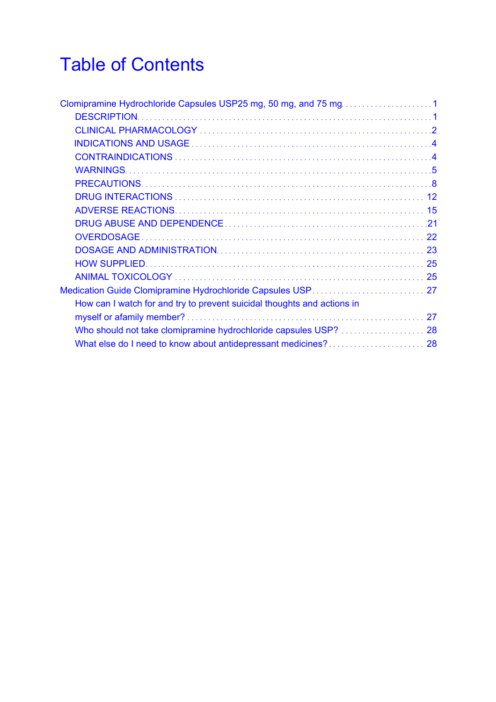# Table of Contents

| Medication Guide Clomipramine Hydrochloride Capsules USP 27             |  |
|-------------------------------------------------------------------------|--|
| How can I watch for and try to prevent suicidal thoughts and actions in |  |
|                                                                         |  |
| Who should not take clomipramine hydrochloride capsules USP?  28        |  |
|                                                                         |  |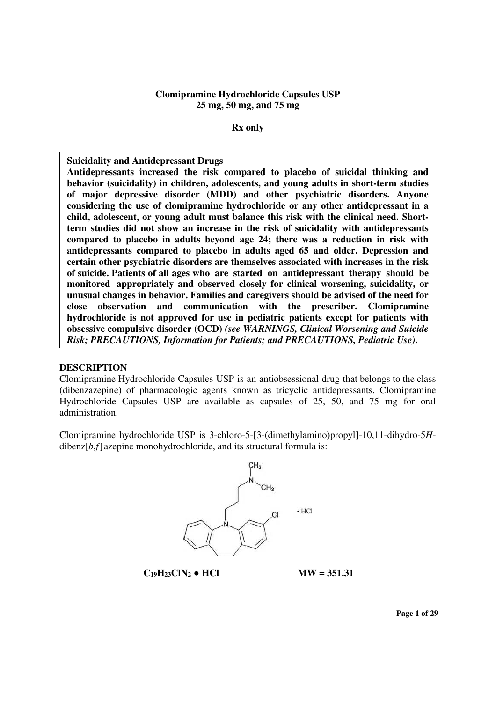## **Clomipramine Hydrochloride Capsules USP 25 mg, 50 mg, and 75 mg**

## **Rx only**

## <span id="page-1-0"></span>**Suicidality and Antidepressant Drugs**

**Antidepressants increased the risk compared to placebo of suicidal thinking and behavior (suicidality) in children, adolescents, and young adults in short-term studies of major depressive disorder (MDD) and other psychiatric disorders. Anyone considering the use of clomipramine hydrochloride or any other antidepressant in a child, adolescent, or young adult must balance this risk with the clinical need. Shortterm studies did not show an increase in the risk of suicidality with antidepressants compared to placebo in adults beyond age 24; there was a reduction in risk with antidepressants compared to placebo in adults aged 65 and older. Depression and certain other psychiatric disorders are themselves associated with increases in the risk of suicide. Patients of all ages who are started on antidepressant therapy should be monitored appropriately and observed closely for clinical worsening, suicidality, or unusual changes in behavior. Families and caregivers should be advised of the need for close observation and communication with the prescriber. Clomipramine hydrochloride is not approved for use in pediatric patients except for patients with obsessive compulsive disorder (OCD)** *(see WARNINGS, Clinical Worsening and Suicide Risk; PRECAUTIONS, Information for Patients; and PRECAUTIONS, Pediatric Use)***.**

## **DESCRIPTION**

Clomipramine Hydrochloride Capsules USP is an antiobsessional drug that belongs to the class (dibenzazepine) of pharmacologic agents known as tricyclic antidepressants. Clomipramine Hydrochloride Capsules USP are available as capsules of 25, 50, and 75 mg for oral administration.

Clomipramine hydrochloride USP is 3-chloro-5-[3-(dimethylamino)propyl]-10,11-dihydro-5*H*dibenz[*b*,*f*] azepine monohydrochloride, and its structural formula is:



 $C_{19}H_{23}CIN_2 \bullet HCl$  **MW** = 351.31

**Page 1 of 29**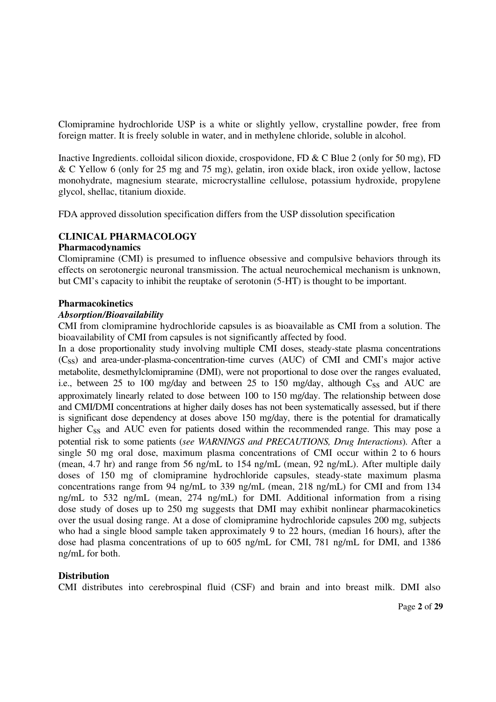<span id="page-2-0"></span>Clomipramine hydrochloride USP is a white or slightly yellow, crystalline powder, free from foreign matter. It is freely soluble in water, and in methylene chloride, soluble in alcohol.

Inactive Ingredients. colloidal silicon dioxide, crospovidone, FD & C Blue 2 (only for 50 mg), FD & C Yellow 6 (only for 25 mg and 75 mg), gelatin, iron oxide black, iron oxide yellow, lactose monohydrate, magnesium stearate, microcrystalline cellulose, potassium hydroxide, propylene glycol, shellac, titanium dioxide.

FDA approved dissolution specification differs from the USP dissolution specification

# **CLINICAL PHARMACOLOGY**

## **Pharmacodynamics**

Clomipramine (CMI) is presumed to influence obsessive and compulsive behaviors through its effects on serotonergic neuronal transmission. The actual neurochemical mechanism is unknown, but CMI's capacity to inhibit the reuptake of serotonin (5-HT) is thought to be important.

## **Pharmacokinetics**

## *Absorption/Bioavailability*

CMI from clomipramine hydrochloride capsules is as bioavailable as CMI from a solution. The bioavailability of CMI from capsules is not significantly affected by food.

In a dose proportionality study involving multiple CMI doses, steady-state plasma concentrations (Css) and area-under-plasma-concentration-time curves (AUC) of CMI and CMI's major active metabolite, desmethylclomipramine (DMI), were not proportional to dose over the ranges evaluated, i.e., between 25 to 100 mg/day and between 25 to 150 mg/day, although  $C_{SS}$  and AUC are approximately linearly related to dose between 100 to 150 mg/day. The relationship between dose and CMI/DMI concentrations at higher daily doses has not been systematically assessed, but if there is significant dose dependency at doses above 150 mg/day, there is the potential for dramatically higher C<sub>SS</sub> and AUC even for patients dosed within the recommended range. This may pose a potential risk to some patients (*see WARNINGS and PRECAUTIONS, Drug Interactions*). After a single 50 mg oral dose, maximum plasma concentrations of CMI occur within 2 to 6 hours (mean, 4.7 hr) and range from 56 ng/mL to 154 ng/mL (mean, 92 ng/mL). After multiple daily doses of 150 mg of clomipramine hydrochloride capsules, steady-state maximum plasma concentrations range from 94 ng/mL to 339 ng/mL (mean, 218 ng/mL) for CMI and from 134 ng/mL to 532 ng/mL (mean, 274 ng/mL) for DMI. Additional information from a rising dose study of doses up to 250 mg suggests that DMI may exhibit nonlinear pharmacokinetics over the usual dosing range. At a dose of clomipramine hydrochloride capsules 200 mg, subjects who had a single blood sample taken approximately 9 to 22 hours, (median 16 hours), after the dose had plasma concentrations of up to 605 ng/mL for CMI, 781 ng/mL for DMI, and 1386 ng/mL for both.

## **Distribution**

CMI distributes into cerebrospinal fluid (CSF) and brain and into breast milk. DMI also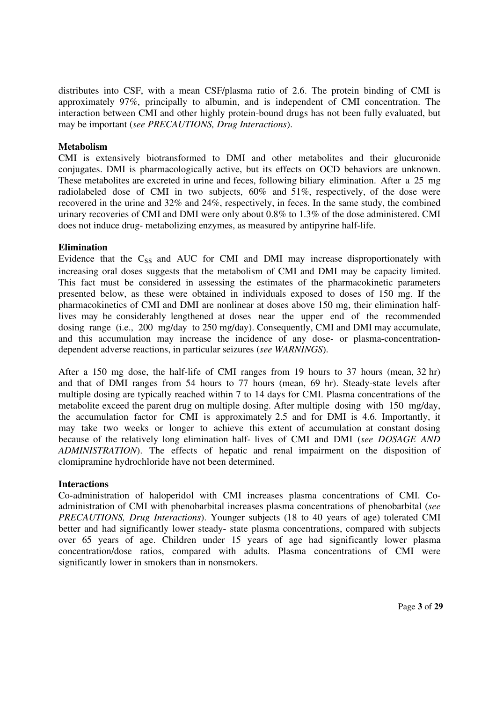distributes into CSF, with a mean CSF/plasma ratio of 2.6. The protein binding of CMI is approximately 97%, principally to albumin, and is independent of CMI concentration. The interaction between CMI and other highly protein-bound drugs has not been fully evaluated, but may be important (*see PRECAUTIONS, Drug Interactions*).

## **Metabolism**

CMI is extensively biotransformed to DMI and other metabolites and their glucuronide conjugates. DMI is pharmacologically active, but its effects on OCD behaviors are unknown. These metabolites are excreted in urine and feces, following biliary elimination. After a 25 mg radiolabeled dose of CMI in two subjects, 60% and 51%, respectively, of the dose were recovered in the urine and 32% and 24%, respectively, in feces. In the same study, the combined urinary recoveries of CMI and DMI were only about 0.8% to 1.3% of the dose administered. CMI does not induce drug- metabolizing enzymes, as measured by antipyrine half-life.

## **Elimination**

Evidence that the C<sub>SS</sub> and AUC for CMI and DMI may increase disproportionately with increasing oral doses suggests that the metabolism of CMI and DMI may be capacity limited. This fact must be considered in assessing the estimates of the pharmacokinetic parameters presented below, as these were obtained in individuals exposed to doses of 150 mg. If the pharmacokinetics of CMI and DMI are nonlinear at doses above 150 mg, their elimination halflives may be considerably lengthened at doses near the upper end of the recommended dosing range (i.e., 200 mg/day to 250 mg/day). Consequently, CMI and DMI may accumulate, and this accumulation may increase the incidence of any dose- or plasma-concentrationdependent adverse reactions, in particular seizures (*see WARNINGS*).

After a 150 mg dose, the half-life of CMI ranges from 19 hours to 37 hours (mean, 32 hr) and that of DMI ranges from 54 hours to 77 hours (mean, 69 hr). Steady-state levels after multiple dosing are typically reached within 7 to 14 days for CMI. Plasma concentrations of the metabolite exceed the parent drug on multiple dosing. After multiple dosing with 150 mg/day, the accumulation factor for CMI is approximately 2.5 and for DMI is 4.6. Importantly, it may take two weeks or longer to achieve this extent of accumulation at constant dosing because of the relatively long elimination half- lives of CMI and DMI (*see DOSAGE AND ADMINISTRATION*). The effects of hepatic and renal impairment on the disposition of clomipramine hydrochloride have not been determined.

## **Interactions**

Co-administration of haloperidol with CMI increases plasma concentrations of CMI. Coadministration of CMI with phenobarbital increases plasma concentrations of phenobarbital (*see PRECAUTIONS, Drug Interactions*). Younger subjects (18 to 40 years of age) tolerated CMI better and had significantly lower steady- state plasma concentrations, compared with subjects over 65 years of age. Children under 15 years of age had significantly lower plasma concentration/dose ratios, compared with adults. Plasma concentrations of CMI were significantly lower in smokers than in nonsmokers.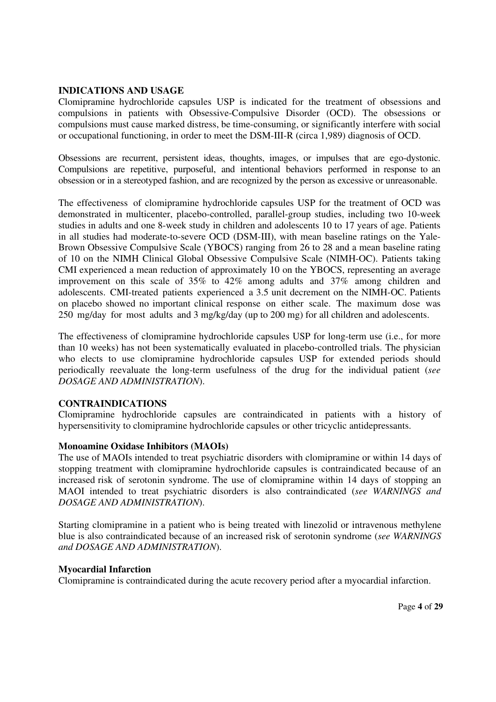# <span id="page-4-0"></span>**INDICATIONS AND USAGE**

Clomipramine hydrochloride capsules USP is indicated for the treatment of obsessions and compulsions in patients with Obsessive-Compulsive Disorder (OCD). The obsessions or compulsions must cause marked distress, be time-consuming, or significantly interfere with social or occupational functioning, in order to meet the DSM-III-R (circa 1,989) diagnosis of OCD.

Obsessions are recurrent, persistent ideas, thoughts, images, or impulses that are ego-dystonic. Compulsions are repetitive, purposeful, and intentional behaviors performed in response to an obsession or in a stereotyped fashion, and are recognized by the person as excessive or unreasonable.

The effectiveness of clomipramine hydrochloride capsules USP for the treatment of OCD was demonstrated in multicenter, placebo-controlled, parallel-group studies, including two 10-week studies in adults and one 8-week study in children and adolescents 10 to 17 years of age. Patients in all studies had moderate-to-severe OCD (DSM-III), with mean baseline ratings on the Yale-Brown Obsessive Compulsive Scale (YBOCS) ranging from 26 to 28 and a mean baseline rating of 10 on the NIMH Clinical Global Obsessive Compulsive Scale (NIMH-OC). Patients taking CMI experienced a mean reduction of approximately 10 on the YBOCS, representing an average improvement on this scale of 35% to 42% among adults and 37% among children and adolescents. CMI-treated patients experienced a 3.5 unit decrement on the NIMH-OC. Patients on placebo showed no important clinical response on either scale. The maximum dose was 250 mg/day for most adults and 3 mg/kg/day (up to 200 mg) for all children and adolescents.

The effectiveness of clomipramine hydrochloride capsules USP for long-term use (i.e., for more than 10 weeks) has not been systematically evaluated in placebo-controlled trials. The physician who elects to use clomipramine hydrochloride capsules USP for extended periods should periodically reevaluate the long-term usefulness of the drug for the individual patient (*see DOSAGE AND ADMINISTRATION*).

# **CONTRAINDICATIONS**

Clomipramine hydrochloride capsules are contraindicated in patients with a history of hypersensitivity to clomipramine hydrochloride capsules or other tricyclic antidepressants.

# **Monoamine Oxidase Inhibitors (MAOIs)**

The use of MAOIs intended to treat psychiatric disorders with clomipramine or within 14 days of stopping treatment with clomipramine hydrochloride capsules is contraindicated because of an increased risk of serotonin syndrome. The use of clomipramine within 14 days of stopping an MAOI intended to treat psychiatric disorders is also contraindicated (*see WARNINGS and DOSAGE AND ADMINISTRATION*).

Starting clomipramine in a patient who is being treated with linezolid or intravenous methylene blue is also contraindicated because of an increased risk of serotonin syndrome (*see WARNINGS and DOSAGE AND ADMINISTRATION*).

## **Myocardial Infarction**

Clomipramine is contraindicated during the acute recovery period after a myocardial infarction.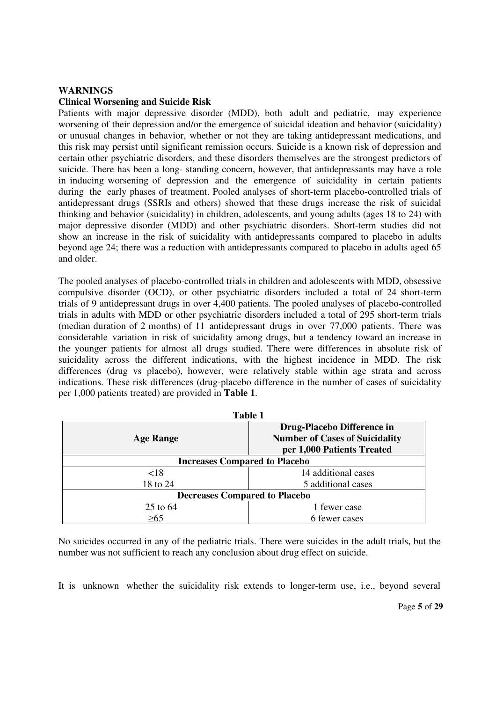## <span id="page-5-0"></span>**WARNINGS**

## **Clinical Worsening and Suicide Risk**

Patients with major depressive disorder (MDD), both adult and pediatric, may experience worsening of their depression and/or the emergence of suicidal ideation and behavior (suicidality) or unusual changes in behavior, whether or not they are taking antidepressant medications, and this risk may persist until significant remission occurs. Suicide is a known risk of depression and certain other psychiatric disorders, and these disorders themselves are the strongest predictors of suicide. There has been a long- standing concern, however, that antidepressants may have a role in inducing worsening of depression and the emergence of suicidality in certain patients during the early phases of treatment. Pooled analyses of short-term placebo-controlled trials of antidepressant drugs (SSRIs and others) showed that these drugs increase the risk of suicidal thinking and behavior (suicidality) in children, adolescents, and young adults (ages 18 to 24) with major depressive disorder (MDD) and other psychiatric disorders. Short-term studies did not show an increase in the risk of suicidality with antidepressants compared to placebo in adults beyond age 24; there was a reduction with antidepressants compared to placebo in adults aged 65 and older.

The pooled analyses of placebo-controlled trials in children and adolescents with MDD, obsessive compulsive disorder (OCD), or other psychiatric disorders included a total of 24 short-term trials of 9 antidepressant drugs in over 4,400 patients. The pooled analyses of placebo-controlled trials in adults with MDD or other psychiatric disorders included a total of 295 short-term trials (median duration of 2 months) of 11 antidepressant drugs in over 77,000 patients. There was considerable variation in risk of suicidality among drugs, but a tendency toward an increase in the younger patients for almost all drugs studied. There were differences in absolute risk of suicidality across the different indications, with the highest incidence in MDD. The risk differences (drug vs placebo), however, were relatively stable within age strata and across indications. These risk differences (drug-placebo difference in the number of cases of suicidality per 1,000 patients treated) are provided in **Table 1**.

| <b>Table 1</b>                       |                                       |  |  |  |
|--------------------------------------|---------------------------------------|--|--|--|
|                                      | Drug-Placebo Difference in            |  |  |  |
| <b>Age Range</b>                     | <b>Number of Cases of Suicidality</b> |  |  |  |
|                                      | per 1,000 Patients Treated            |  |  |  |
| <b>Increases Compared to Placebo</b> |                                       |  |  |  |
| < 18                                 | 14 additional cases                   |  |  |  |
| 18 to 24                             | 5 additional cases                    |  |  |  |
| <b>Decreases Compared to Placebo</b> |                                       |  |  |  |
| 25 to 64                             | 1 fewer case                          |  |  |  |
| >65                                  | 6 fewer cases                         |  |  |  |

No suicides occurred in any of the pediatric trials. There were suicides in the adult trials, but the number was not sufficient to reach any conclusion about drug effect on suicide.

It is unknown whether the suicidality risk extends to longer-term use, i.e., beyond several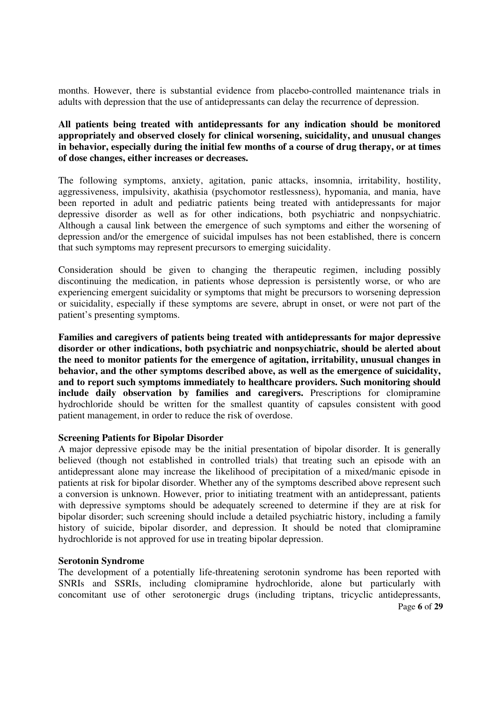months. However, there is substantial evidence from placebo-controlled maintenance trials in adults with depression that the use of antidepressants can delay the recurrence of depression.

# **All patients being treated with antidepressants for any indication should be monitored appropriately and observed closely for clinical worsening, suicidality, and unusual changes in behavior, especially during the initial few months of a course of drug therapy, or at times of dose changes, either increases or decreases.**

The following symptoms, anxiety, agitation, panic attacks, insomnia, irritability, hostility, aggressiveness, impulsivity, akathisia (psychomotor restlessness), hypomania, and mania, have been reported in adult and pediatric patients being treated with antidepressants for major depressive disorder as well as for other indications, both psychiatric and nonpsychiatric. Although a causal link between the emergence of such symptoms and either the worsening of depression and/or the emergence of suicidal impulses has not been established, there is concern that such symptoms may represent precursors to emerging suicidality.

Consideration should be given to changing the therapeutic regimen, including possibly discontinuing the medication, in patients whose depression is persistently worse, or who are experiencing emergent suicidality or symptoms that might be precursors to worsening depression or suicidality, especially if these symptoms are severe, abrupt in onset, or were not part of the patient's presenting symptoms.

**Families and caregivers of patients being treated with antidepressants for major depressive disorder or other indications, both psychiatric and nonpsychiatric, should be alerted about the need to monitor patients for the emergence of agitation, irritability, unusual changes in behavior, and the other symptoms described above, as well as the emergence of suicidality, and to report such symptoms immediately to healthcare providers. Such monitoring should include daily observation by families and caregivers.** Prescriptions for clomipramine hydrochloride should be written for the smallest quantity of capsules consistent with good patient management, in order to reduce the risk of overdose.

## **Screening Patients for Bipolar Disorder**

A major depressive episode may be the initial presentation of bipolar disorder. It is generally believed (though not established in controlled trials) that treating such an episode with an antidepressant alone may increase the likelihood of precipitation of a mixed/manic episode in patients at risk for bipolar disorder. Whether any of the symptoms described above represent such a conversion is unknown. However, prior to initiating treatment with an antidepressant, patients with depressive symptoms should be adequately screened to determine if they are at risk for bipolar disorder; such screening should include a detailed psychiatric history, including a family history of suicide, bipolar disorder, and depression. It should be noted that clomipramine hydrochloride is not approved for use in treating bipolar depression.

## **Serotonin Syndrome**

The development of a potentially life-threatening serotonin syndrome has been reported with SNRIs and SSRIs, including clomipramine hydrochloride, alone but particularly with concomitant use of other serotonergic drugs (including triptans, tricyclic antidepressants,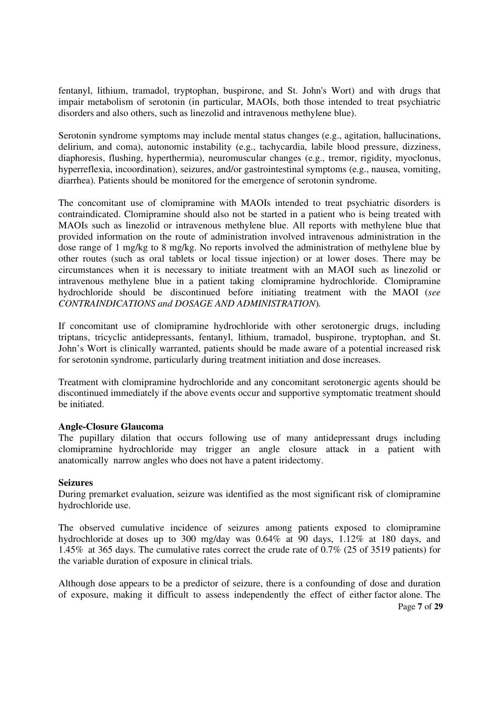fentanyl, lithium, tramadol, tryptophan, buspirone, and St. John's Wort) and with drugs that impair metabolism of serotonin (in particular, MAOIs, both those intended to treat psychiatric disorders and also others, such as linezolid and intravenous methylene blue).

Serotonin syndrome symptoms may include mental status changes (e.g., agitation, hallucinations, delirium, and coma), autonomic instability (e.g., tachycardia, labile blood pressure, dizziness, diaphoresis, flushing, hyperthermia), neuromuscular changes (e.g., tremor, rigidity, myoclonus, hyperreflexia, incoordination), seizures, and/or gastrointestinal symptoms (e.g., nausea, vomiting, diarrhea). Patients should be monitored for the emergence of serotonin syndrome.

The concomitant use of clomipramine with MAOIs intended to treat psychiatric disorders is contraindicated. Clomipramine should also not be started in a patient who is being treated with MAOIs such as linezolid or intravenous methylene blue. All reports with methylene blue that provided information on the route of administration involved intravenous administration in the dose range of 1 mg/kg to 8 mg/kg. No reports involved the administration of methylene blue by other routes (such as oral tablets or local tissue injection) or at lower doses. There may be circumstances when it is necessary to initiate treatment with an MAOI such as linezolid or intravenous methylene blue in a patient taking clomipramine hydrochloride. Clomipramine hydrochloride should be discontinued before initiating treatment with the MAOI (*see CONTRAINDICATIONS and DOSAGE AND ADMINISTRATION*)*.*

If concomitant use of clomipramine hydrochloride with other serotonergic drugs, including triptans, tricyclic antidepressants, fentanyl, lithium, tramadol, buspirone, tryptophan, and St. John's Wort is clinically warranted, patients should be made aware of a potential increased risk for serotonin syndrome, particularly during treatment initiation and dose increases.

Treatment with clomipramine hydrochloride and any concomitant serotonergic agents should be discontinued immediately if the above events occur and supportive symptomatic treatment should be initiated.

# **Angle-Closure Glaucoma**

The pupillary dilation that occurs following use of many antidepressant drugs including clomipramine hydrochloride may trigger an angle closure attack in a patient with anatomically narrow angles who does not have a patent iridectomy.

# **Seizures**

During premarket evaluation, seizure was identified as the most significant risk of clomipramine hydrochloride use.

The observed cumulative incidence of seizures among patients exposed to clomipramine hydrochloride at doses up to 300 mg/day was 0.64% at 90 days, 1.12% at 180 days, and 1.45% at 365 days. The cumulative rates correct the crude rate of 0.7% (25 of 3519 patients) for the variable duration of exposure in clinical trials.

Page **7** of **29** Although dose appears to be a predictor of seizure, there is a confounding of dose and duration of exposure, making it difficult to assess independently the effect of either factor alone. The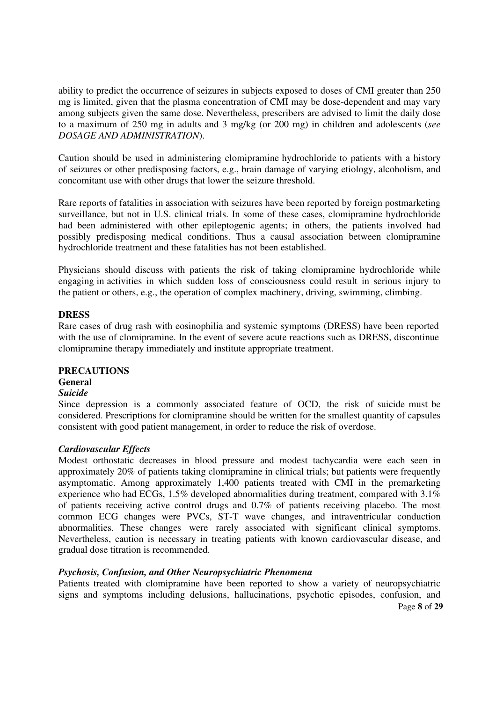<span id="page-8-0"></span>ability to predict the occurrence of seizures in subjects exposed to doses of CMI greater than 250 mg is limited, given that the plasma concentration of CMI may be dose-dependent and may vary among subjects given the same dose. Nevertheless, prescribers are advised to limit the daily dose to a maximum of 250 mg in adults and 3 mg/kg (or 200 mg) in children and adolescents (*see DOSAGE AND ADMINISTRATION*).

Caution should be used in administering clomipramine hydrochloride to patients with a history of seizures or other predisposing factors, e.g., brain damage of varying etiology, alcoholism, and concomitant use with other drugs that lower the seizure threshold.

Rare reports of fatalities in association with seizures have been reported by foreign postmarketing surveillance, but not in U.S. clinical trials. In some of these cases, clomipramine hydrochloride had been administered with other epileptogenic agents; in others, the patients involved had possibly predisposing medical conditions. Thus a causal association between clomipramine hydrochloride treatment and these fatalities has not been established.

Physicians should discuss with patients the risk of taking clomipramine hydrochloride while engaging in activities in which sudden loss of consciousness could result in serious injury to the patient or others, e.g., the operation of complex machinery, driving, swimming, climbing.

## **DRESS**

Rare cases of drug rash with eosinophilia and systemic symptoms (DRESS) have been reported with the use of clomipramine. In the event of severe acute reactions such as DRESS, discontinue clomipramine therapy immediately and institute appropriate treatment.

## **PRECAUTIONS**

# **General**

## *Suicide*

Since depression is a commonly associated feature of OCD, the risk of suicide must be considered. Prescriptions for clomipramine should be written for the smallest quantity of capsules consistent with good patient management, in order to reduce the risk of overdose.

## *Cardiovascular Effects*

Modest orthostatic decreases in blood pressure and modest tachycardia were each seen in approximately 20% of patients taking clomipramine in clinical trials; but patients were frequently asymptomatic. Among approximately 1,400 patients treated with CMI in the premarketing experience who had ECGs, 1.5% developed abnormalities during treatment, compared with 3.1% of patients receiving active control drugs and 0.7% of patients receiving placebo. The most common ECG changes were PVCs, ST-T wave changes, and intraventricular conduction abnormalities. These changes were rarely associated with significant clinical symptoms. Nevertheless, caution is necessary in treating patients with known cardiovascular disease, and gradual dose titration is recommended.

# *Psychosis, Confusion, and Other Neuropsychiatric Phenomena*

Page **8** of **29** Patients treated with clomipramine have been reported to show a variety of neuropsychiatric signs and symptoms including delusions, hallucinations, psychotic episodes, confusion, and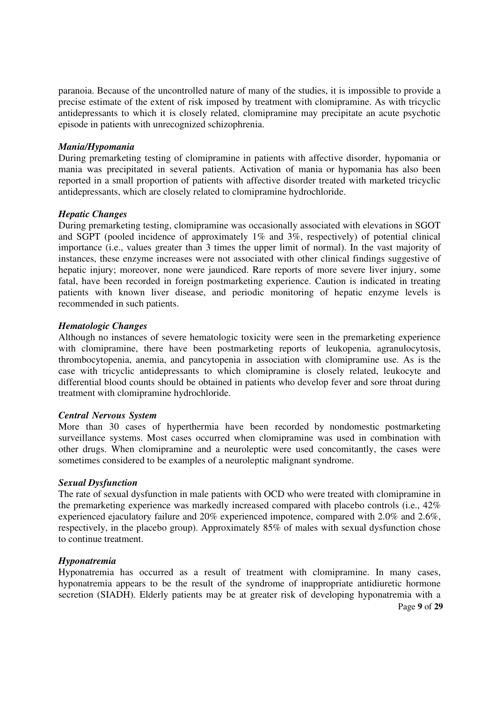paranoia. Because of the uncontrolled nature of many of the studies, it is impossible to provide a precise estimate of the extent of risk imposed by treatment with clomipramine. As with tricyclic antidepressants to which it is closely related, clomipramine may precipitate an acute psychotic episode in patients with unrecognized schizophrenia.

## *Mania/Hypomania*

During premarketing testing of clomipramine in patients with affective disorder, hypomania or mania was precipitated in several patients. Activation of mania or hypomania has also been reported in a small proportion of patients with affective disorder treated with marketed tricyclic antidepressants, which are closely related to clomipramine hydrochloride.

## *Hepatic Changes*

During premarketing testing, clomipramine was occasionally associated with elevations in SGOT and SGPT (pooled incidence of approximately 1% and 3%, respectively) of potential clinical importance (i.e., values greater than 3 times the upper limit of normal). In the vast majority of instances, these enzyme increases were not associated with other clinical findings suggestive of hepatic injury; moreover, none were jaundiced. Rare reports of more severe liver injury, some fatal, have been recorded in foreign postmarketing experience. Caution is indicated in treating patients with known liver disease, and periodic monitoring of hepatic enzyme levels is recommended in such patients.

## *Hematologic Changes*

Although no instances of severe hematologic toxicity were seen in the premarketing experience with clomipramine, there have been postmarketing reports of leukopenia, agranulocytosis, thrombocytopenia, anemia, and pancytopenia in association with clomipramine use. As is the case with tricyclic antidepressants to which clomipramine is closely related, leukocyte and differential blood counts should be obtained in patients who develop fever and sore throat during treatment with clomipramine hydrochloride.

## *Central Nervous System*

More than 30 cases of hyperthermia have been recorded by nondomestic postmarketing surveillance systems. Most cases occurred when clomipramine was used in combination with other drugs. When clomipramine and a neuroleptic were used concomitantly, the cases were sometimes considered to be examples of a neuroleptic malignant syndrome.

## *Sexual Dysfunction*

The rate of sexual dysfunction in male patients with OCD who were treated with clomipramine in the premarketing experience was markedly increased compared with placebo controls (i.e., 42% experienced ejaculatory failure and 20% experienced impotence, compared with 2.0% and 2.6%, respectively, in the placebo group). Approximately 85% of males with sexual dysfunction chose to continue treatment.

## *Hyponatremia*

Page **9** of **29** Hyponatremia has occurred as a result of treatment with clomipramine. In many cases, hyponatremia appears to be the result of the syndrome of inappropriate antidiuretic hormone secretion (SIADH). Elderly patients may be at greater risk of developing hyponatremia with a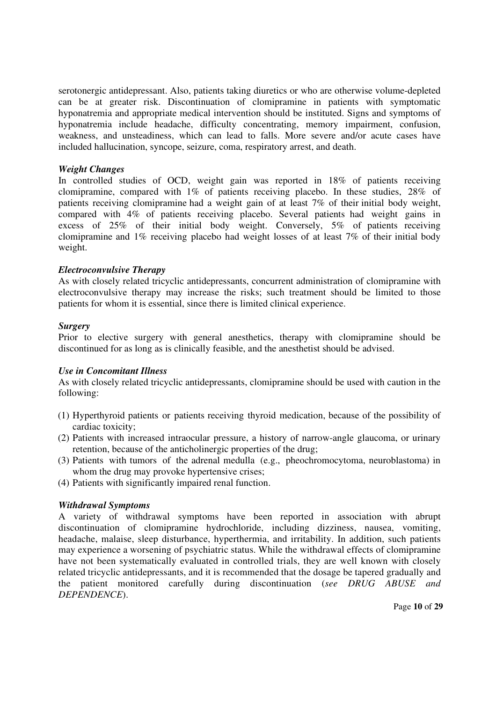serotonergic antidepressant. Also, patients taking diuretics or who are otherwise volume-depleted can be at greater risk. Discontinuation of clomipramine in patients with symptomatic hyponatremia and appropriate medical intervention should be instituted. Signs and symptoms of hyponatremia include headache, difficulty concentrating, memory impairment, confusion, weakness, and unsteadiness, which can lead to falls. More severe and/or acute cases have included hallucination, syncope, seizure, coma, respiratory arrest, and death.

## *Weight Changes*

In controlled studies of OCD, weight gain was reported in 18% of patients receiving clomipramine, compared with 1% of patients receiving placebo. In these studies, 28% of patients receiving clomipramine had a weight gain of at least 7% of their initial body weight, compared with 4% of patients receiving placebo. Several patients had weight gains in excess of 25% of their initial body weight. Conversely, 5% of patients receiving clomipramine and 1% receiving placebo had weight losses of at least 7% of their initial body weight.

## *Electroconvulsive Therapy*

As with closely related tricyclic antidepressants, concurrent administration of clomipramine with electroconvulsive therapy may increase the risks; such treatment should be limited to those patients for whom it is essential, since there is limited clinical experience.

## *Surgery*

Prior to elective surgery with general anesthetics, therapy with clomipramine should be discontinued for as long as is clinically feasible, and the anesthetist should be advised.

# *Use in Concomitant Illness*

As with closely related tricyclic antidepressants, clomipramine should be used with caution in the following:

- (1) Hyperthyroid patients or patients receiving thyroid medication, because of the possibility of cardiac toxicity;
- (2) Patients with increased intraocular pressure, a history of narrow-angle glaucoma, or urinary retention, because of the anticholinergic properties of the drug;
- (3) Patients with tumors of the adrenal medulla (e.g., pheochromocytoma, neuroblastoma) in whom the drug may provoke hypertensive crises;
- (4) Patients with significantly impaired renal function.

# *Withdrawal Symptoms*

A variety of withdrawal symptoms have been reported in association with abrupt discontinuation of clomipramine hydrochloride, including dizziness, nausea, vomiting, headache, malaise, sleep disturbance, hyperthermia, and irritability. In addition, such patients may experience a worsening of psychiatric status. While the withdrawal effects of clomipramine have not been systematically evaluated in controlled trials, they are well known with closely related tricyclic antidepressants, and it is recommended that the dosage be tapered gradually and the patient monitored carefully during discontinuation (*see DRUG ABUSE and DEPENDENCE*).

Page **10** of **29**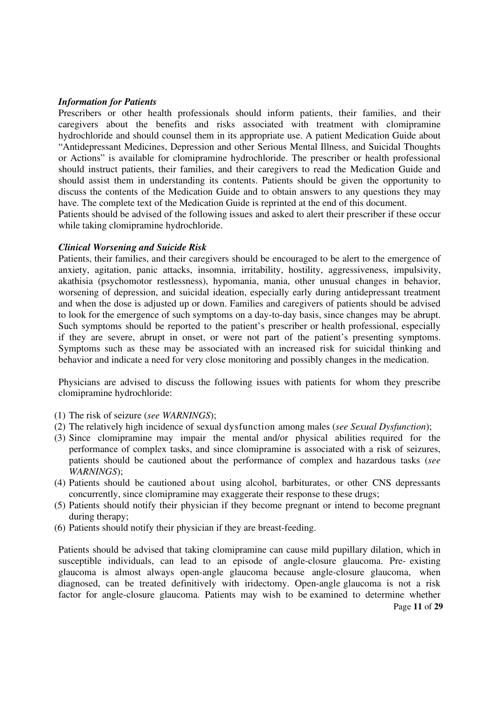## *Information for Patients*

Prescribers or other health professionals should inform patients, their families, and their caregivers about the benefits and risks associated with treatment with clomipramine hydrochloride and should counsel them in its appropriate use. A patient Medication Guide about "Antidepressant Medicines, Depression and other Serious Mental Illness, and Suicidal Thoughts or Actions" is available for clomipramine hydrochloride. The prescriber or health professional should instruct patients, their families, and their caregivers to read the Medication Guide and should assist them in understanding its contents. Patients should be given the opportunity to discuss the contents of the Medication Guide and to obtain answers to any questions they may have. The complete text of the Medication Guide is reprinted at the end of this document.

Patients should be advised of the following issues and asked to alert their prescriber if these occur while taking clomipramine hydrochloride.

## *Clinical Worsening and Suicide Risk*

Patients, their families, and their caregivers should be encouraged to be alert to the emergence of anxiety, agitation, panic attacks, insomnia, irritability, hostility, aggressiveness, impulsivity, akathisia (psychomotor restlessness), hypomania, mania, other unusual changes in behavior, worsening of depression, and suicidal ideation, especially early during antidepressant treatment and when the dose is adjusted up or down. Families and caregivers of patients should be advised to look for the emergence of such symptoms on a day-to-day basis, since changes may be abrupt. Such symptoms should be reported to the patient's prescriber or health professional, especially if they are severe, abrupt in onset, or were not part of the patient's presenting symptoms. Symptoms such as these may be associated with an increased risk for suicidal thinking and behavior and indicate a need for very close monitoring and possibly changes in the medication.

Physicians are advised to discuss the following issues with patients for whom they prescribe clomipramine hydrochloride:

- (1) The risk of seizure (*see WARNINGS*);
- (2) The relatively high incidence of sexual dysfunction among males (*see Sexual Dysfunction*);
- (3) Since clomipramine may impair the mental and/or physical abilities required for the performance of complex tasks, and since clomipramine is associated with a risk of seizures, patients should be cautioned about the performance of complex and hazardous tasks (*see WARNINGS*);
- (4) Patients should be cautioned about using alcohol, barbiturates, or other CNS depressants concurrently, since clomipramine may exaggerate their response to these drugs;
- (5) Patients should notify their physician if they become pregnant or intend to become pregnant during therapy;
- (6) Patients should notify their physician if they are breast-feeding.

Page **11** of **29** Patients should be advised that taking clomipramine can cause mild pupillary dilation, which in susceptible individuals, can lead to an episode of angle-closure glaucoma. Pre- existing glaucoma is almost always open-angle glaucoma because angle-closure glaucoma, when diagnosed, can be treated definitively with iridectomy. Open-angle glaucoma is not a risk factor for angle-closure glaucoma. Patients may wish to be examined to determine whether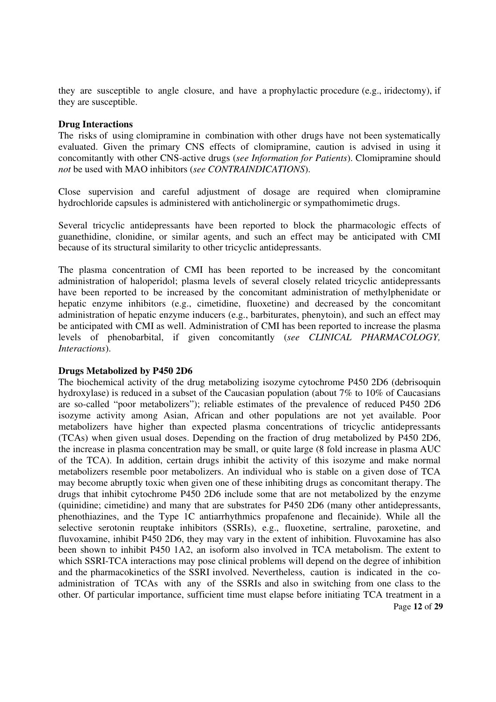<span id="page-12-0"></span>they are susceptible to angle closure, and have a prophylactic procedure (e.g., iridectomy), if they are susceptible.

## **Drug Interactions**

The risks of using clomipramine in combination with other drugs have not been systematically evaluated. Given the primary CNS effects of clomipramine, caution is advised in using it concomitantly with other CNS-active drugs (*see Information for Patients*). Clomipramine should *not* be used with MAO inhibitors (*see CONTRAINDICATIONS*).

Close supervision and careful adjustment of dosage are required when clomipramine hydrochloride capsules is administered with anticholinergic or sympathomimetic drugs.

Several tricyclic antidepressants have been reported to block the pharmacologic effects of guanethidine, clonidine, or similar agents, and such an effect may be anticipated with CMI because of its structural similarity to other tricyclic antidepressants.

The plasma concentration of CMI has been reported to be increased by the concomitant administration of haloperidol; plasma levels of several closely related tricyclic antidepressants have been reported to be increased by the concomitant administration of methylphenidate or hepatic enzyme inhibitors (e.g., cimetidine, fluoxetine) and decreased by the concomitant administration of hepatic enzyme inducers (e.g., barbiturates, phenytoin), and such an effect may be anticipated with CMI as well. Administration of CMI has been reported to increase the plasma levels of phenobarbital, if given concomitantly (*see CLINICAL PHARMACOLOGY, Interactions*).

## **Drugs Metabolized by P450 2D6**

Page **12** of **29** The biochemical activity of the drug metabolizing isozyme cytochrome P450 2D6 (debrisoquin hydroxylase) is reduced in a subset of the Caucasian population (about 7% to 10% of Caucasians are so-called "poor metabolizers"); reliable estimates of the prevalence of reduced P450 2D6 isozyme activity among Asian, African and other populations are not yet available. Poor metabolizers have higher than expected plasma concentrations of tricyclic antidepressants (TCAs) when given usual doses. Depending on the fraction of drug metabolized by P450 2D6, the increase in plasma concentration may be small, or quite large (8 fold increase in plasma AUC of the TCA). In addition, certain drugs inhibit the activity of this isozyme and make normal metabolizers resemble poor metabolizers. An individual who is stable on a given dose of TCA may become abruptly toxic when given one of these inhibiting drugs as concomitant therapy. The drugs that inhibit cytochrome P450 2D6 include some that are not metabolized by the enzyme (quinidine; cimetidine) and many that are substrates for P450 2D6 (many other antidepressants, phenothiazines, and the Type 1C antiarrhythmics propafenone and flecainide). While all the selective serotonin reuptake inhibitors (SSRIs), e.g., fluoxetine, sertraline, paroxetine, and fluvoxamine, inhibit P450 2D6, they may vary in the extent of inhibition. Fluvoxamine has also been shown to inhibit P450 1A2, an isoform also involved in TCA metabolism. The extent to which SSRI-TCA interactions may pose clinical problems will depend on the degree of inhibition and the pharmacokinetics of the SSRI involved. Nevertheless, caution is indicated in the coadministration of TCAs with any of the SSRIs and also in switching from one class to the other. Of particular importance, sufficient time must elapse before initiating TCA treatment in a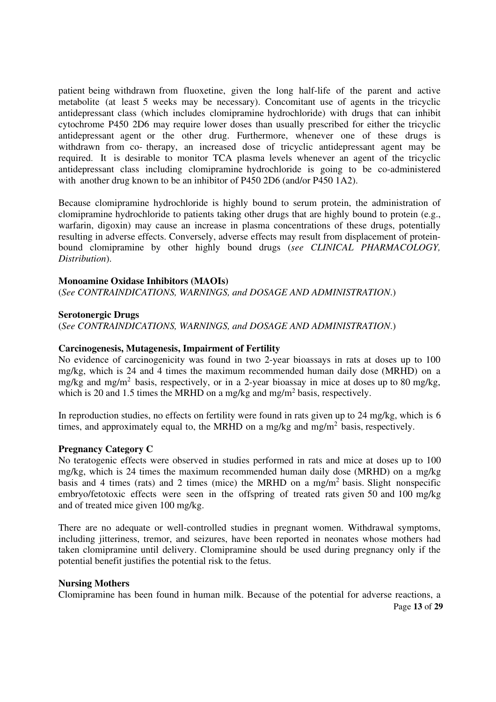patient being withdrawn from fluoxetine, given the long half-life of the parent and active metabolite (at least 5 weeks may be necessary). Concomitant use of agents in the tricyclic antidepressant class (which includes clomipramine hydrochloride) with drugs that can inhibit cytochrome P450 2D6 may require lower doses than usually prescribed for either the tricyclic antidepressant agent or the other drug. Furthermore, whenever one of these drugs is withdrawn from co- therapy, an increased dose of tricyclic antidepressant agent may be required. It is desirable to monitor TCA plasma levels whenever an agent of the tricyclic antidepressant class including clomipramine hydrochloride is going to be co-administered with another drug known to be an inhibitor of P450 2D6 (and/or P450 1A2).

Because clomipramine hydrochloride is highly bound to serum protein, the administration of clomipramine hydrochloride to patients taking other drugs that are highly bound to protein (e.g., warfarin, digoxin) may cause an increase in plasma concentrations of these drugs, potentially resulting in adverse effects. Conversely, adverse effects may result from displacement of proteinbound clomipramine by other highly bound drugs (*see CLINICAL PHARMACOLOGY, Distribution*).

## **Monoamine Oxidase Inhibitors (MAOIs)**

(*See CONTRAINDICATIONS, WARNINGS, and DOSAGE AND ADMINISTRATION*.)

## **Serotonergic Drugs**

(*See CONTRAINDICATIONS, WARNINGS, and DOSAGE AND ADMINISTRATION*.)

## **Carcinogenesis, Mutagenesis, Impairment of Fertility**

No evidence of carcinogenicity was found in two 2-year bioassays in rats at doses up to 100 mg/kg, which is 24 and 4 times the maximum recommended human daily dose (MRHD) on a mg/kg and mg/m<sup>2</sup> basis, respectively, or in a 2-year bioassay in mice at doses up to 80 mg/kg, which is 20 and 1.5 times the MRHD on a mg/kg and mg/m<sup>2</sup> basis, respectively.

In reproduction studies, no effects on fertility were found in rats given up to 24 mg/kg, which is 6 times, and approximately equal to, the MRHD on a mg/kg and mg/m<sup>2</sup> basis, respectively.

#### **Pregnancy Category C**

No teratogenic effects were observed in studies performed in rats and mice at doses up to 100 mg/kg, which is 24 times the maximum recommended human daily dose (MRHD) on a mg/kg basis and 4 times (rats) and 2 times (mice) the MRHD on a mg/m<sup>2</sup> basis. Slight nonspecific embryo/fetotoxic effects were seen in the offspring of treated rats given 50 and 100 mg/kg and of treated mice given 100 mg/kg.

There are no adequate or well-controlled studies in pregnant women. Withdrawal symptoms, including jitteriness, tremor, and seizures, have been reported in neonates whose mothers had taken clomipramine until delivery. Clomipramine should be used during pregnancy only if the potential benefit justifies the potential risk to the fetus.

#### **Nursing Mothers**

Page **13** of **29** Clomipramine has been found in human milk. Because of the potential for adverse reactions, a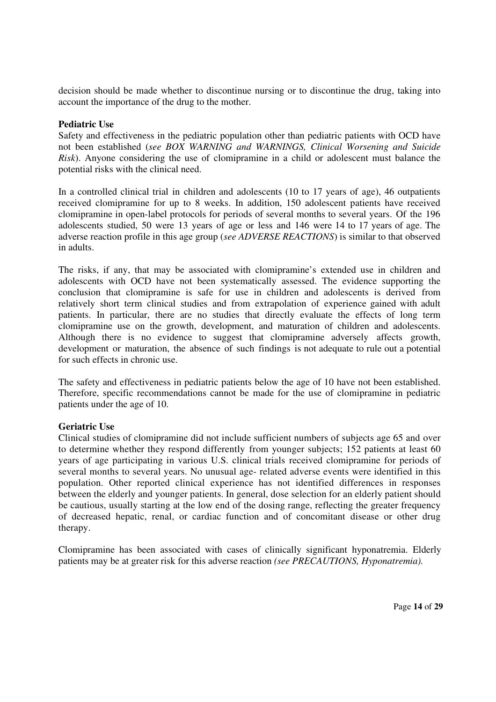decision should be made whether to discontinue nursing or to discontinue the drug, taking into account the importance of the drug to the mother.

## **Pediatric Use**

Safety and effectiveness in the pediatric population other than pediatric patients with OCD have not been established (*see BOX WARNING and WARNINGS, Clinical Worsening and Suicide Risk*). Anyone considering the use of clomipramine in a child or adolescent must balance the potential risks with the clinical need.

In a controlled clinical trial in children and adolescents (10 to 17 years of age), 46 outpatients received clomipramine for up to 8 weeks. In addition, 150 adolescent patients have received clomipramine in open-label protocols for periods of several months to several years. Of the 196 adolescents studied, 50 were 13 years of age or less and 146 were 14 to 17 years of age. The adverse reaction profile in this age group (*see ADVERSE REACTIONS*) is similar to that observed in adults.

The risks, if any, that may be associated with clomipramine's extended use in children and adolescents with OCD have not been systematically assessed. The evidence supporting the conclusion that clomipramine is safe for use in children and adolescents is derived from relatively short term clinical studies and from extrapolation of experience gained with adult patients. In particular, there are no studies that directly evaluate the effects of long term clomipramine use on the growth, development, and maturation of children and adolescents. Although there is no evidence to suggest that clomipramine adversely affects growth, development or maturation, the absence of such findings is not adequate to rule out a potential for such effects in chronic use.

The safety and effectiveness in pediatric patients below the age of 10 have not been established. Therefore, specific recommendations cannot be made for the use of clomipramine in pediatric patients under the age of 10.

## **Geriatric Use**

Clinical studies of clomipramine did not include sufficient numbers of subjects age 65 and over to determine whether they respond differently from younger subjects; 152 patients at least 60 years of age participating in various U.S. clinical trials received clomipramine for periods of several months to several years. No unusual age- related adverse events were identified in this population. Other reported clinical experience has not identified differences in responses between the elderly and younger patients. In general, dose selection for an elderly patient should be cautious, usually starting at the low end of the dosing range, reflecting the greater frequency of decreased hepatic, renal, or cardiac function and of concomitant disease or other drug therapy.

Clomipramine has been associated with cases of clinically significant hyponatremia. Elderly patients may be at greater risk for this adverse reaction *(see PRECAUTIONS, Hyponatremia).*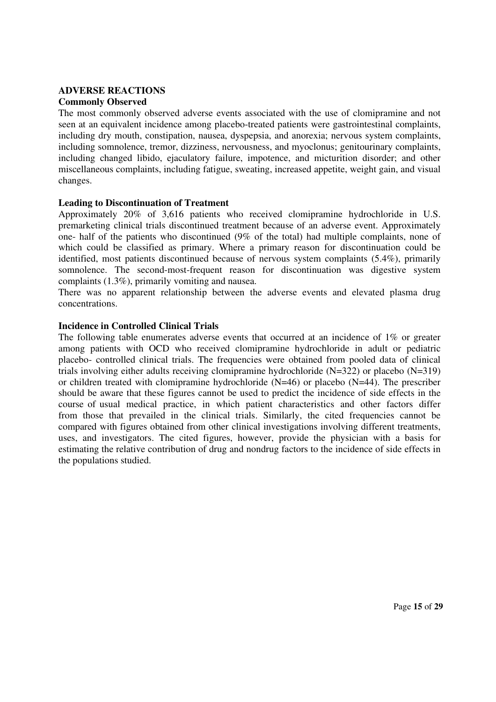# <span id="page-15-0"></span>**ADVERSE REACTIONS Commonly Observed**

The most commonly observed adverse events associated with the use of clomipramine and not seen at an equivalent incidence among placebo-treated patients were gastrointestinal complaints, including dry mouth, constipation, nausea, dyspepsia, and anorexia; nervous system complaints, including somnolence, tremor, dizziness, nervousness, and myoclonus; genitourinary complaints, including changed libido, ejaculatory failure, impotence, and micturition disorder; and other miscellaneous complaints, including fatigue, sweating, increased appetite, weight gain, and visual changes.

# **Leading to Discontinuation of Treatment**

Approximately 20% of 3,616 patients who received clomipramine hydrochloride in U.S. premarketing clinical trials discontinued treatment because of an adverse event. Approximately one- half of the patients who discontinued (9% of the total) had multiple complaints, none of which could be classified as primary. Where a primary reason for discontinuation could be identified, most patients discontinued because of nervous system complaints (5.4%), primarily somnolence. The second-most-frequent reason for discontinuation was digestive system complaints (1.3%), primarily vomiting and nausea.

There was no apparent relationship between the adverse events and elevated plasma drug concentrations.

# **Incidence in Controlled Clinical Trials**

The following table enumerates adverse events that occurred at an incidence of 1% or greater among patients with OCD who received clomipramine hydrochloride in adult or pediatric placebo- controlled clinical trials. The frequencies were obtained from pooled data of clinical trials involving either adults receiving clomipramine hydrochloride  $(N=322)$  or placebo  $(N=319)$ or children treated with clomipramine hydrochloride (N=46) or placebo (N=44). The prescriber should be aware that these figures cannot be used to predict the incidence of side effects in the course of usual medical practice, in which patient characteristics and other factors differ from those that prevailed in the clinical trials. Similarly, the cited frequencies cannot be compared with figures obtained from other clinical investigations involving different treatments, uses, and investigators. The cited figures, however, provide the physician with a basis for estimating the relative contribution of drug and nondrug factors to the incidence of side effects in the populations studied.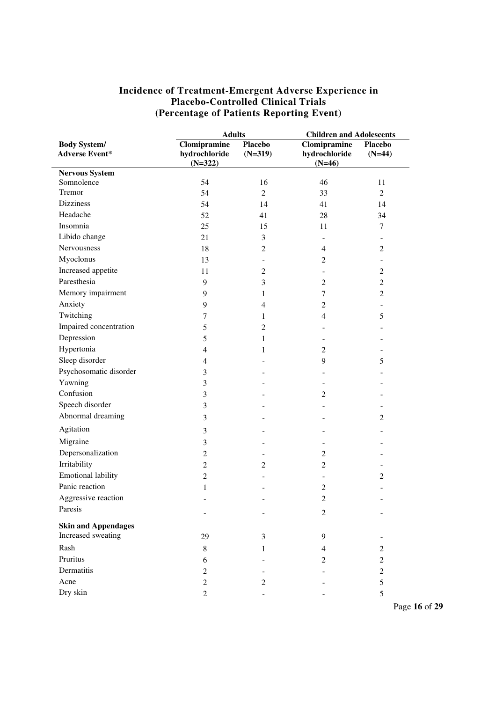|                                                  | <b>Adults</b>                              |                             | <b>Children and Adolescents</b>           |                            |
|--------------------------------------------------|--------------------------------------------|-----------------------------|-------------------------------------------|----------------------------|
| <b>Body System/</b><br><b>Adverse Event*</b>     | Clomipramine<br>hydrochloride<br>$(N=322)$ | <b>Placebo</b><br>$(N=319)$ | Clomipramine<br>hydrochloride<br>$(N=46)$ | <b>Placebo</b><br>$(N=44)$ |
| <b>Nervous System</b>                            |                                            |                             |                                           |                            |
| Somnolence                                       | 54                                         | 16                          | 46                                        | 11                         |
| Tremor                                           | 54                                         | $\overline{2}$              | 33                                        | $\overline{2}$             |
| <b>Dizziness</b>                                 | 54                                         | 14                          | 41                                        | 14                         |
| Headache                                         | 52                                         | 41                          | 28                                        | 34                         |
| Insomnia                                         | 25                                         | 15                          | 11                                        | $\tau$                     |
| Libido change                                    | 21                                         | 3                           |                                           |                            |
| Nervousness                                      | 18                                         | $\overline{2}$              | $\overline{4}$                            | $\overline{2}$             |
| Myoclonus                                        | 13                                         |                             | $\overline{c}$                            |                            |
| Increased appetite                               | 11                                         | $\overline{2}$              | $\overline{\phantom{0}}$                  | $\overline{2}$             |
| Paresthesia                                      | 9                                          | 3                           | $\overline{c}$                            | $\sqrt{2}$                 |
| Memory impairment                                | 9                                          | $\mathbf{1}$                | $\tau$                                    | $\overline{c}$             |
| Anxiety                                          | 9                                          | $\overline{4}$              | $\overline{c}$                            |                            |
| Twitching                                        | $\boldsymbol{7}$                           | $\mathbf{1}$                | $\overline{4}$                            | 5                          |
| Impaired concentration                           | 5                                          | $\overline{c}$              |                                           |                            |
| Depression                                       | 5                                          | $\mathbf{1}$                | ۰                                         |                            |
| Hypertonia                                       | $\overline{4}$                             | $\mathbf{1}$                | $\overline{c}$                            |                            |
| Sleep disorder                                   | 4                                          |                             | 9                                         | 5                          |
| Psychosomatic disorder                           | 3                                          |                             |                                           |                            |
| Yawning                                          | 3                                          |                             |                                           |                            |
| Confusion                                        | 3                                          |                             | $\overline{c}$                            |                            |
| Speech disorder                                  | 3                                          |                             |                                           |                            |
| Abnormal dreaming                                | 3                                          |                             |                                           | $\overline{2}$             |
| Agitation                                        | 3                                          |                             |                                           |                            |
| Migraine                                         | 3                                          |                             | ÷                                         |                            |
| Depersonalization                                | $\overline{c}$                             | $\overline{\phantom{a}}$    | $\overline{c}$                            |                            |
| Irritability                                     | $\overline{c}$                             | 2                           | $\overline{c}$                            |                            |
| Emotional lability                               | $\overline{c}$                             |                             |                                           | $\overline{c}$             |
| Panic reaction                                   |                                            |                             | $\overline{\phantom{0}}$                  |                            |
| Aggressive reaction                              | $\mathbf{1}$                               |                             | $\overline{c}$<br>$\overline{c}$          |                            |
| Paresis                                          | ٠                                          |                             |                                           |                            |
|                                                  |                                            |                             | $\overline{c}$                            |                            |
| <b>Skin and Appendages</b><br>Increased sweating | 29                                         | 3                           | 9                                         |                            |
| Rash                                             | 8                                          | 1                           | 4                                         | $\overline{c}$             |
| Pruritus                                         | 6                                          |                             | 2                                         | $\overline{c}$             |
| Dermatitis                                       | $\overline{c}$                             |                             |                                           | $\overline{2}$             |
| Acne                                             | $\overline{c}$                             | 2                           |                                           | 5                          |
|                                                  |                                            |                             |                                           |                            |

# **Incidence of Treatment-Emergent Adverse Experience in Placebo-Controlled Clinical Trials (Percentage of Patients Reporting Event)**

Page **16** of **29**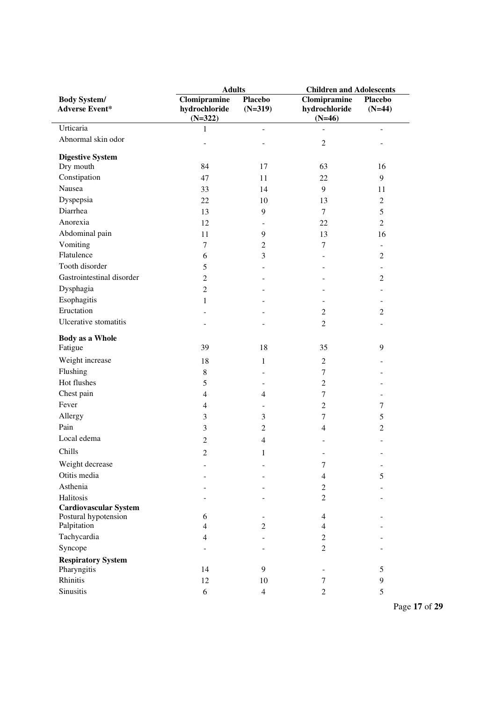|                                              | <b>Adults</b>                              |                             | <b>Children and Adolescents</b>           |                            |
|----------------------------------------------|--------------------------------------------|-----------------------------|-------------------------------------------|----------------------------|
| <b>Body System/</b><br><b>Adverse Event*</b> | Clomipramine<br>hydrochloride<br>$(N=322)$ | <b>Placebo</b><br>$(N=319)$ | Clomipramine<br>hydrochloride<br>$(N=46)$ | <b>Placebo</b><br>$(N=44)$ |
| Urticaria                                    | $\mathbf{1}$                               | $\overline{a}$              |                                           | $\overline{a}$             |
| Abnormal skin odor                           |                                            |                             | $\overline{c}$                            |                            |
| <b>Digestive System</b>                      |                                            |                             |                                           |                            |
| Dry mouth                                    | 84                                         | 17                          | 63                                        | 16                         |
| Constipation                                 | 47                                         | 11                          | $22\,$                                    | 9                          |
| Nausea                                       | 33                                         | 14                          | 9                                         | 11                         |
| Dyspepsia                                    | 22                                         | 10                          | 13                                        | $\overline{2}$             |
| Diarrhea                                     | 13                                         | 9                           | $\tau$                                    | 5                          |
| Anorexia                                     | 12                                         | $\overline{\phantom{a}}$    | 22                                        | $\overline{2}$             |
| Abdominal pain                               | 11                                         | 9                           | 13                                        | 16                         |
| Vomiting                                     | $\tau$                                     | $\overline{2}$              | $\tau$                                    | $\overline{\phantom{a}}$   |
| Flatulence                                   | 6                                          | 3                           | Ξ.                                        | $\sqrt{2}$                 |
| Tooth disorder                               | 5                                          |                             | $\overline{\phantom{0}}$                  | $\overline{\phantom{a}}$   |
| Gastrointestinal disorder                    | $\overline{c}$                             |                             |                                           | $\overline{c}$             |
| Dysphagia                                    | $\overline{c}$                             |                             |                                           |                            |
| Esophagitis                                  | 1                                          |                             | $\blacksquare$                            | ÷.                         |
| Eructation                                   |                                            |                             | $\overline{c}$                            | $\overline{2}$             |
| Ulcerative stomatitis                        |                                            |                             | $\overline{2}$                            | ÷                          |
| Body as a Whole                              |                                            |                             |                                           |                            |
| Fatigue                                      | 39                                         | 18                          | 35                                        | 9                          |
| Weight increase                              | 18                                         | $\mathbf{1}$                | $\overline{c}$                            |                            |
| Flushing                                     | $8\,$                                      | $\blacksquare$              | $\tau$                                    |                            |
| Hot flushes                                  | 5                                          |                             | $\mathfrak 2$                             |                            |
| Chest pain                                   | $\overline{\mathbf{4}}$                    | $\overline{4}$              | $\boldsymbol{7}$                          |                            |
| Fever                                        | 4                                          |                             | $\boldsymbol{2}$                          | $\tau$                     |
| Allergy                                      | 3                                          | 3                           | $\tau$                                    | 5                          |
| Pain                                         | 3                                          | $\mathbf{2}$                | 4                                         | $\overline{c}$             |
| Local edema                                  | $\overline{c}$                             | $\overline{4}$              |                                           |                            |
| Chills                                       | $\overline{c}$                             | $\mathbf{1}$                |                                           |                            |
| Weight decrease                              |                                            |                             | $\boldsymbol{7}$                          | $\overline{\phantom{a}}$   |
| Otitis media                                 |                                            |                             | $\overline{4}$                            | 5                          |
| Asthenia                                     |                                            |                             | $\overline{c}$                            |                            |
| Halitosis                                    |                                            |                             | $\overline{c}$                            |                            |
| <b>Cardiovascular System</b>                 |                                            |                             |                                           |                            |
| Postural hypotension<br>Palpitation          | 6                                          |                             | $\overline{4}$                            |                            |
| Tachycardia                                  | $\overline{\mathcal{L}}$                   | $\overline{2}$              | $\overline{4}$                            |                            |
| Syncope                                      | $\overline{\mathcal{L}}$                   |                             | $\overline{c}$<br>$\overline{c}$          |                            |
|                                              |                                            |                             |                                           |                            |
| <b>Respiratory System</b><br>Pharyngitis     | 14                                         | 9                           |                                           | 5                          |
| Rhinitis                                     | 12                                         | 10                          | $\tau$                                    | 9                          |
| <b>Sinusitis</b>                             |                                            |                             |                                           | 5                          |
|                                              | 6                                          | $\overline{4}$              | $\overline{c}$                            |                            |

Page **17** of **29**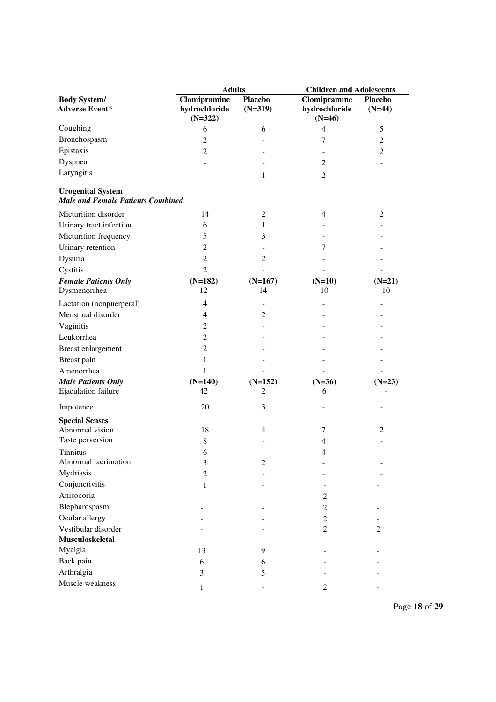|                                                                      | <b>Adults</b>                              |                             | <b>Children and Adolescents</b>           |                            |
|----------------------------------------------------------------------|--------------------------------------------|-----------------------------|-------------------------------------------|----------------------------|
| <b>Body System/</b><br><b>Adverse Event*</b>                         | Clomipramine<br>hydrochloride<br>$(N=322)$ | <b>Placebo</b><br>$(N=319)$ | Clomipramine<br>hydrochloride<br>$(N=46)$ | <b>Placebo</b><br>$(N=44)$ |
| Coughing                                                             | 6                                          | 6                           | $\overline{4}$                            | 5                          |
| Bronchospasm                                                         | $\overline{c}$                             | $\overline{a}$              | $\tau$                                    | $\mathbf{2}$               |
| Epistaxis                                                            | $\overline{c}$                             |                             |                                           | $\mathbf{2}$               |
| Dyspnea                                                              |                                            |                             | $\overline{c}$                            | ÷.                         |
| Laryngitis                                                           |                                            | $\mathbf{1}$                | $\overline{2}$                            |                            |
| <b>Urogenital System</b><br><b>Male and Female Patients Combined</b> |                                            |                             |                                           |                            |
| Micturition disorder                                                 | 14                                         | $\overline{c}$              | $\overline{4}$                            | $\mathfrak{2}$             |
| Urinary tract infection                                              | 6                                          | 1                           |                                           |                            |
| Micturition frequency                                                | 5                                          | 3                           |                                           |                            |
| Urinary retention                                                    | $\overline{c}$                             |                             | 7                                         |                            |
| Dysuria                                                              | $\overline{c}$                             | $\overline{c}$              |                                           |                            |
| Cystitis                                                             | $\overline{2}$                             | $\overline{a}$              |                                           |                            |
| <b>Female Patients Only</b><br>Dysmenorrhea                          | $(N=182)$<br>12                            | $(N=167)$<br>14             | $(N=10)$<br>10                            | $(N=21)$<br>10             |
| Lactation (nonpuerperal)                                             | $\overline{4}$                             |                             |                                           |                            |
| Menstrual disorder                                                   | $\overline{\mathcal{L}}$                   | $\overline{2}$              |                                           |                            |
|                                                                      |                                            |                             |                                           |                            |
| Vaginitis                                                            | $\overline{c}$                             |                             |                                           |                            |
| Leukorrhea                                                           | $\overline{c}$                             |                             | ۰                                         |                            |
| Breast enlargement                                                   | $\overline{c}$                             |                             |                                           |                            |
| Breast pain                                                          | $\mathbf{1}$                               |                             |                                           |                            |
| Amenorrhea                                                           | $\mathbf{1}$                               |                             |                                           |                            |
| <b>Male Patients Only</b><br>Ejaculation failure                     | $(N=140)$<br>42                            | $(N=152)$<br>$\overline{c}$ | $(N=36)$<br>6                             | $(N=23)$                   |
| Impotence                                                            | 20                                         | 3                           |                                           |                            |
| <b>Special Senses</b>                                                |                                            |                             |                                           |                            |
| Abnormal vision                                                      | 18                                         | $\overline{4}$              | 7                                         | 2                          |
| Taste perversion                                                     | 8                                          |                             | 4                                         |                            |
| <b>Tinnitus</b>                                                      | 6                                          |                             | 4                                         |                            |
| Abnormal lacrimation                                                 | $\mathfrak{Z}$                             | $\overline{\mathbf{c}}$     |                                           |                            |
| Mydriasis                                                            | $\overline{c}$                             |                             |                                           |                            |
| Conjunctivitis                                                       | 1                                          |                             |                                           |                            |
| Anisocoria                                                           |                                            |                             | $\overline{c}$                            |                            |
| Blepharospasm                                                        |                                            |                             | $\overline{2}$                            |                            |
| Ocular allergy                                                       |                                            |                             | $\overline{2}$                            |                            |
| Vestibular disorder                                                  |                                            |                             | $\overline{2}$                            | $\overline{c}$             |
| Musculoskeletal                                                      |                                            |                             |                                           |                            |
| Myalgia                                                              | 13                                         | 9                           |                                           |                            |
| Back pain                                                            | 6                                          | 6                           |                                           |                            |
| Arthralgia                                                           | 3                                          | 5                           |                                           |                            |
| Muscle weakness                                                      | $\mathbf{1}$                               |                             | 2                                         |                            |

Page **18** of **29**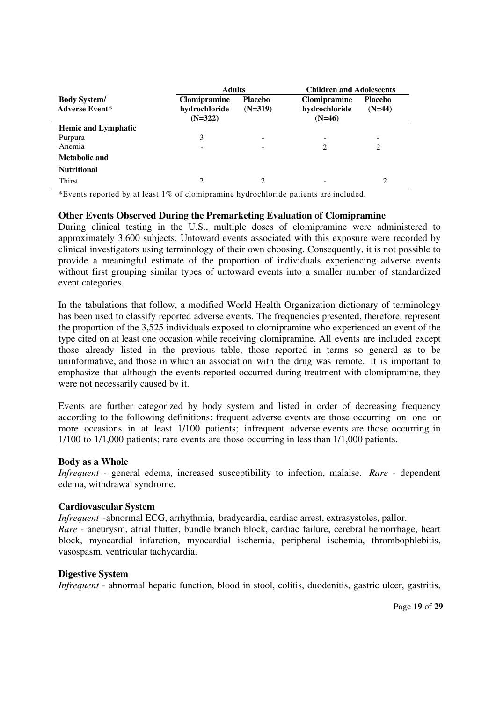|                            | <b>Adults</b>       |           |                     | <b>Children and Adolescents</b> |  |
|----------------------------|---------------------|-----------|---------------------|---------------------------------|--|
| <b>Body System/</b>        | <b>Clomipramine</b> | Placebo   | <b>Clomipramine</b> | Placebo                         |  |
| <b>Adverse Event*</b>      | hydrochloride       | $(N=319)$ | hydrochloride       | $(N=44)$                        |  |
|                            | $(N=322)$           |           | $(N=46)$            |                                 |  |
| <b>Hemic and Lymphatic</b> |                     |           |                     |                                 |  |
| Purpura                    | 3                   |           |                     | -                               |  |
| Anemia                     |                     |           |                     | 2                               |  |
| <b>Metabolic and</b>       |                     |           |                     |                                 |  |
| <b>Nutritional</b>         |                     |           |                     |                                 |  |
| Thirst                     |                     |           |                     | 2                               |  |

\*Events reported by at least 1% of clomipramine hydrochloride patients are included.

## **Other Events Observed During the Premarketing Evaluation of Clomipramine**

During clinical testing in the U.S., multiple doses of clomipramine were administered to approximately 3,600 subjects. Untoward events associated with this exposure were recorded by clinical investigators using terminology of their own choosing. Consequently, it is not possible to provide a meaningful estimate of the proportion of individuals experiencing adverse events without first grouping similar types of untoward events into a smaller number of standardized event categories.

In the tabulations that follow, a modified World Health Organization dictionary of terminology has been used to classify reported adverse events. The frequencies presented, therefore, represent the proportion of the 3,525 individuals exposed to clomipramine who experienced an event of the type cited on at least one occasion while receiving clomipramine. All events are included except those already listed in the previous table, those reported in terms so general as to be uninformative, and those in which an association with the drug was remote. It is important to emphasize that although the events reported occurred during treatment with clomipramine, they were not necessarily caused by it.

Events are further categorized by body system and listed in order of decreasing frequency according to the following definitions: frequent adverse events are those occurring on one or more occasions in at least 1/100 patients; infrequent adverse events are those occurring in 1/100 to 1/1,000 patients; rare events are those occurring in less than 1/1,000 patients.

## **Body as a Whole**

*Infrequent -* general edema, increased susceptibility to infection, malaise. *Rare -* dependent edema, withdrawal syndrome.

## **Cardiovascular System**

*Infrequent -*abnormal ECG, arrhythmia, bradycardia, cardiac arrest, extrasystoles, pallor. Rare - aneurysm, atrial flutter, bundle branch block, cardiac failure, cerebral hemorrhage, heart block, myocardial infarction, myocardial ischemia, peripheral ischemia, thrombophlebitis, vasospasm, ventricular tachycardia.

## **Digestive System**

*Infrequent - abnormal hepatic function, blood in stool, colitis, duodenitis, gastric ulcer, gastritis,*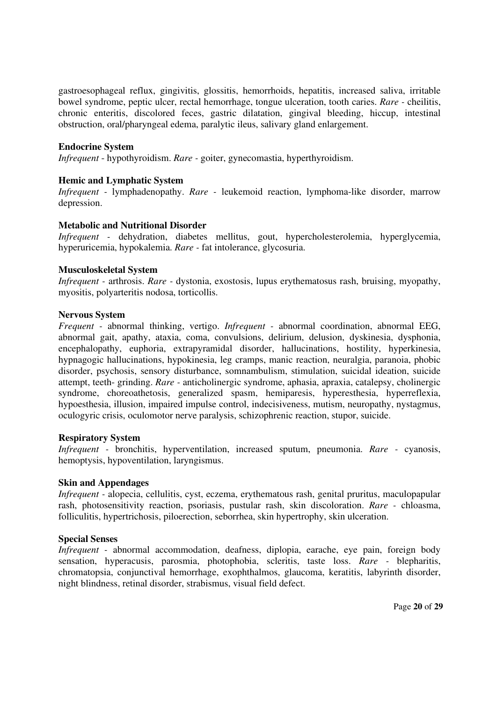gastroesophageal reflux, gingivitis, glossitis, hemorrhoids, hepatitis, increased saliva, irritable bowel syndrome, peptic ulcer, rectal hemorrhage, tongue ulceration, tooth caries. *Rare -* cheilitis, chronic enteritis, discolored feces, gastric dilatation, gingival bleeding, hiccup, intestinal obstruction, oral/pharyngeal edema, paralytic ileus, salivary gland enlargement.

## **Endocrine System**

*Infrequent* - hypothyroidism. *Rare -* goiter, gynecomastia, hyperthyroidism.

## **Hemic and Lymphatic System**

*Infrequent -* lymphadenopathy. *Rare -* leukemoid reaction, lymphoma-like disorder, marrow depression.

## **Metabolic and Nutritional Disorder**

*Infrequent -* dehydration, diabetes mellitus, gout, hypercholesterolemia, hyperglycemia, hyperuricemia, hypokalemia. *Rare -* fat intolerance, glycosuria.

## **Musculoskeletal System**

*Infrequent - arthrosis. Rare - dystonia, exostosis, lupus erythematosus rash, bruising, myopathy,* myositis, polyarteritis nodosa, torticollis.

## **Nervous System**

*Frequent -* abnormal thinking, vertigo. *Infrequent -* abnormal coordination, abnormal EEG, abnormal gait, apathy, ataxia, coma, convulsions, delirium, delusion, dyskinesia, dysphonia, encephalopathy, euphoria, extrapyramidal disorder, hallucinations, hostility, hyperkinesia, hypnagogic hallucinations, hypokinesia, leg cramps, manic reaction, neuralgia, paranoia, phobic disorder, psychosis, sensory disturbance, somnambulism, stimulation, suicidal ideation, suicide attempt, teeth- grinding. *Rare -* anticholinergic syndrome, aphasia, apraxia, catalepsy, cholinergic syndrome, choreoathetosis, generalized spasm, hemiparesis, hyperesthesia, hyperreflexia, hypoesthesia, illusion, impaired impulse control, indecisiveness, mutism, neuropathy, nystagmus, oculogyric crisis, oculomotor nerve paralysis, schizophrenic reaction, stupor, suicide.

#### **Respiratory System**

*Infrequent -* bronchitis, hyperventilation, increased sputum, pneumonia. *Rare -* cyanosis, hemoptysis, hypoventilation, laryngismus.

## **Skin and Appendages**

*Infrequent -* alopecia, cellulitis, cyst, eczema, erythematous rash, genital pruritus, maculopapular rash, photosensitivity reaction, psoriasis, pustular rash, skin discoloration. *Rare -* chloasma, folliculitis, hypertrichosis, piloerection, seborrhea, skin hypertrophy, skin ulceration.

#### **Special Senses**

*Infrequent -* abnormal accommodation, deafness, diplopia, earache, eye pain, foreign body sensation, hyperacusis, parosmia, photophobia, scleritis, taste loss. *Rare -* blepharitis, chromatopsia, conjunctival hemorrhage, exophthalmos, glaucoma, keratitis, labyrinth disorder, night blindness, retinal disorder, strabismus, visual field defect.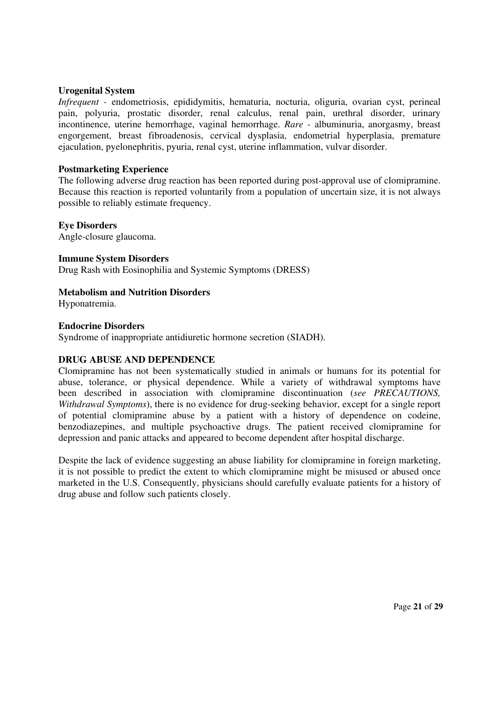## <span id="page-21-0"></span>**Urogenital System**

*Infrequent -* endometriosis, epididymitis, hematuria, nocturia, oliguria, ovarian cyst, perineal pain, polyuria, prostatic disorder, renal calculus, renal pain, urethral disorder, urinary incontinence, uterine hemorrhage, vaginal hemorrhage. *Rare -* albuminuria, anorgasmy, breast engorgement, breast fibroadenosis, cervical dysplasia, endometrial hyperplasia, premature ejaculation, pyelonephritis, pyuria, renal cyst, uterine inflammation, vulvar disorder.

## **Postmarketing Experience**

The following adverse drug reaction has been reported during post-approval use of clomipramine. Because this reaction is reported voluntarily from a population of uncertain size, it is not always possible to reliably estimate frequency.

## **Eye Disorders**

Angle-closure glaucoma.

## **Immune System Disorders**

Drug Rash with Eosinophilia and Systemic Symptoms (DRESS)

# **Metabolism and Nutrition Disorders**

Hyponatremia.

## **Endocrine Disorders**

Syndrome of inappropriate antidiuretic hormone secretion (SIADH).

# **DRUG ABUSE AND DEPENDENCE**

Clomipramine has not been systematically studied in animals or humans for its potential for abuse, tolerance, or physical dependence. While a variety of withdrawal symptoms have been described in association with clomipramine discontinuation (*see PRECAUTIONS, Withdrawal Symptoms*), there is no evidence for drug-seeking behavior, except for a single report of potential clomipramine abuse by a patient with a history of dependence on codeine, benzodiazepines, and multiple psychoactive drugs. The patient received clomipramine for depression and panic attacks and appeared to become dependent after hospital discharge.

Despite the lack of evidence suggesting an abuse liability for clomipramine in foreign marketing, it is not possible to predict the extent to which clomipramine might be misused or abused once marketed in the U.S. Consequently, physicians should carefully evaluate patients for a history of drug abuse and follow such patients closely.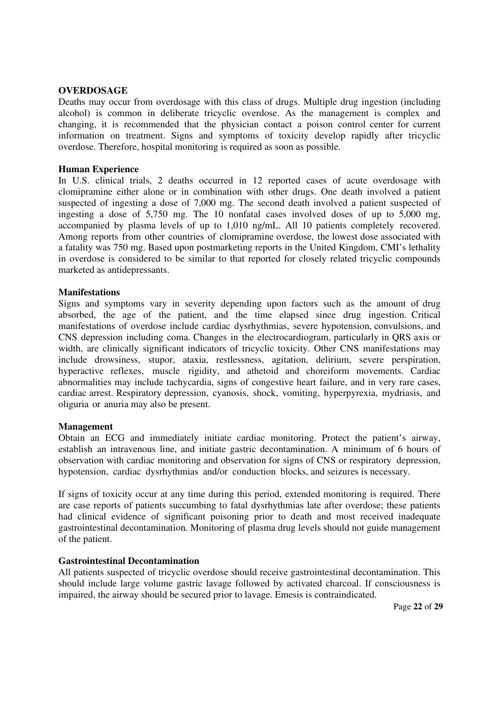## <span id="page-22-0"></span>**OVERDOSAGE**

Deaths may occur from overdosage with this class of drugs. Multiple drug ingestion (including alcohol) is common in deliberate tricyclic overdose. As the management is complex and changing, it is recommended that the physician contact a poison control center for current information on treatment. Signs and symptoms of toxicity develop rapidly after tricyclic overdose. Therefore, hospital monitoring is required as soon as possible.

## **Human Experience**

In U.S. clinical trials, 2 deaths occurred in 12 reported cases of acute overdosage with clomipramine either alone or in combination with other drugs. One death involved a patient suspected of ingesting a dose of 7,000 mg. The second death involved a patient suspected of ingesting a dose of 5,750 mg. The 10 nonfatal cases involved doses of up to 5,000 mg, accompanied by plasma levels of up to 1,010 ng/mL. All 10 patients completely recovered. Among reports from other countries of clomipramine overdose, the lowest dose associated with a fatality was 750 mg. Based upon postmarketing reports in the United Kingdom, CMI's lethality in overdose is considered to be similar to that reported for closely related tricyclic compounds marketed as antidepressants.

## **Manifestations**

Signs and symptoms vary in severity depending upon factors such as the amount of drug absorbed, the age of the patient, and the time elapsed since drug ingestion. Critical manifestations of overdose include cardiac dysrhythmias, severe hypotension, convulsions, and CNS depression including coma. Changes in the electrocardiogram, particularly in QRS axis or width, are clinically significant indicators of tricyclic toxicity. Other CNS manifestations may include drowsiness, stupor, ataxia, restlessness, agitation, delirium, severe perspiration, hyperactive reflexes, muscle rigidity, and athetoid and choreiform movements. Cardiac abnormalities may include tachycardia, signs of congestive heart failure, and in very rare cases, cardiac arrest. Respiratory depression, cyanosis, shock, vomiting, hyperpyrexia, mydriasis, and oliguria or anuria may also be present.

## **Management**

Obtain an ECG and immediately initiate cardiac monitoring. Protect the patient's airway, establish an intravenous line, and initiate gastric decontamination. A minimum of 6 hours of observation with cardiac monitoring and observation for signs of CNS or respiratory depression, hypotension, cardiac dysrhythmias and/or conduction blocks, and seizures is necessary.

If signs of toxicity occur at any time during this period, extended monitoring is required. There are case reports of patients succumbing to fatal dysrhythmias late after overdose; these patients had clinical evidence of significant poisoning prior to death and most received inadequate gastrointestinal decontamination. Monitoring of plasma drug levels should not guide management of the patient.

## **Gastrointestinal Decontamination**

All patients suspected of tricyclic overdose should receive gastrointestinal decontamination. This should include large volume gastric lavage followed by activated charcoal. If consciousness is impaired, the airway should be secured prior to lavage. Emesis is contraindicated.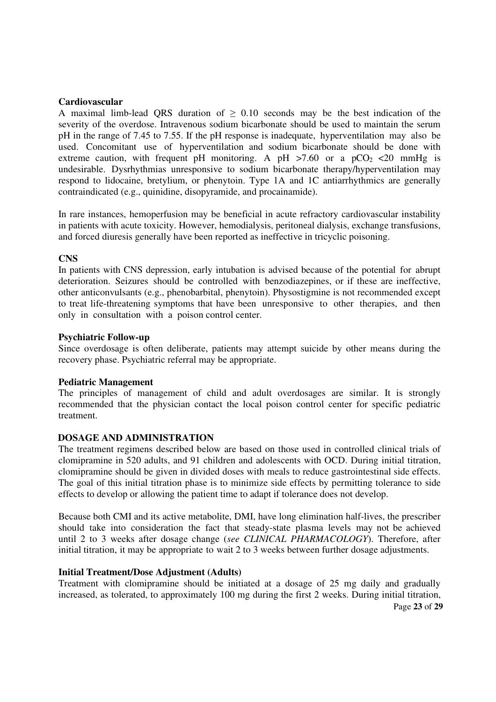## <span id="page-23-0"></span>**Cardiovascular**

A maximal limb-lead QRS duration of  $\geq$  0.10 seconds may be the best indication of the severity of the overdose. Intravenous sodium bicarbonate should be used to maintain the serum pH in the range of 7.45 to 7.55. If the pH response is inadequate, hyperventilation may also be used. Concomitant use of hyperventilation and sodium bicarbonate should be done with extreme caution, with frequent pH monitoring. A pH  $>7.60$  or a pCO<sub>2</sub> <20 mmHg is undesirable. Dysrhythmias unresponsive to sodium bicarbonate therapy/hyperventilation may respond to lidocaine, bretylium, or phenytoin. Type 1A and 1C antiarrhythmics are generally contraindicated (e.g., quinidine, disopyramide, and procainamide).

In rare instances, hemoperfusion may be beneficial in acute refractory cardiovascular instability in patients with acute toxicity. However, hemodialysis, peritoneal dialysis, exchange transfusions, and forced diuresis generally have been reported as ineffective in tricyclic poisoning.

# **CNS**

In patients with CNS depression, early intubation is advised because of the potential for abrupt deterioration. Seizures should be controlled with benzodiazepines, or if these are ineffective, other anticonvulsants (e.g., phenobarbital, phenytoin). Physostigmine is not recommended except to treat life-threatening symptoms that have been unresponsive to other therapies, and then only in consultation with a poison control center.

## **Psychiatric Follow-up**

Since overdosage is often deliberate, patients may attempt suicide by other means during the recovery phase. Psychiatric referral may be appropriate.

## **Pediatric Management**

The principles of management of child and adult overdosages are similar. It is strongly recommended that the physician contact the local poison control center for specific pediatric treatment.

# **DOSAGE AND ADMINISTRATION**

The treatment regimens described below are based on those used in controlled clinical trials of clomipramine in 520 adults, and 91 children and adolescents with OCD. During initial titration, clomipramine should be given in divided doses with meals to reduce gastrointestinal side effects. The goal of this initial titration phase is to minimize side effects by permitting tolerance to side effects to develop or allowing the patient time to adapt if tolerance does not develop.

Because both CMI and its active metabolite, DMI, have long elimination half-lives, the prescriber should take into consideration the fact that steady-state plasma levels may not be achieved until 2 to 3 weeks after dosage change (*see CLINICAL PHARMACOLOGY*). Therefore, after initial titration, it may be appropriate to wait 2 to 3 weeks between further dosage adjustments.

## **Initial Treatment/Dose Adjustment (Adults)**

Page **23** of **29** Treatment with clomipramine should be initiated at a dosage of 25 mg daily and gradually increased, as tolerated, to approximately 100 mg during the first 2 weeks. During initial titration,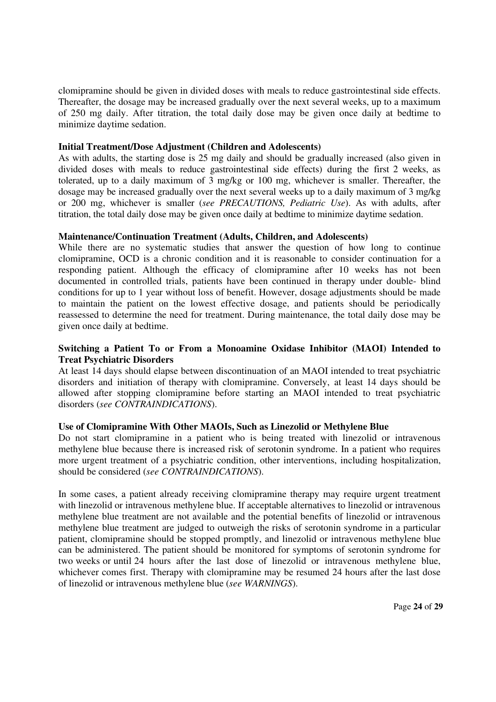clomipramine should be given in divided doses with meals to reduce gastrointestinal side effects. Thereafter, the dosage may be increased gradually over the next several weeks, up to a maximum of 250 mg daily. After titration, the total daily dose may be given once daily at bedtime to minimize daytime sedation.

## **Initial Treatment/Dose Adjustment (Children and Adolescents)**

As with adults, the starting dose is 25 mg daily and should be gradually increased (also given in divided doses with meals to reduce gastrointestinal side effects) during the first 2 weeks, as tolerated, up to a daily maximum of 3 mg/kg or 100 mg, whichever is smaller. Thereafter, the dosage may be increased gradually over the next several weeks up to a daily maximum of 3 mg/kg or 200 mg, whichever is smaller (*see PRECAUTIONS, Pediatric Use*). As with adults, after titration, the total daily dose may be given once daily at bedtime to minimize daytime sedation.

## **Maintenance/Continuation Treatment (Adults, Children, and Adolescents)**

While there are no systematic studies that answer the question of how long to continue clomipramine, OCD is a chronic condition and it is reasonable to consider continuation for a responding patient. Although the efficacy of clomipramine after 10 weeks has not been documented in controlled trials, patients have been continued in therapy under double- blind conditions for up to 1 year without loss of benefit. However, dosage adjustments should be made to maintain the patient on the lowest effective dosage, and patients should be periodically reassessed to determine the need for treatment. During maintenance, the total daily dose may be given once daily at bedtime.

# **Switching a Patient To or From a Monoamine Oxidase Inhibitor (MAOI) Intended to Treat Psychiatric Disorders**

At least 14 days should elapse between discontinuation of an MAOI intended to treat psychiatric disorders and initiation of therapy with clomipramine. Conversely, at least 14 days should be allowed after stopping clomipramine before starting an MAOI intended to treat psychiatric disorders (*see CONTRAINDICATIONS*).

# **Use of Clomipramine With Other MAOIs, Such as Linezolid or Methylene Blue**

Do not start clomipramine in a patient who is being treated with linezolid or intravenous methylene blue because there is increased risk of serotonin syndrome. In a patient who requires more urgent treatment of a psychiatric condition, other interventions, including hospitalization, should be considered (*see CONTRAINDICATIONS*).

In some cases, a patient already receiving clomipramine therapy may require urgent treatment with linezolid or intravenous methylene blue. If acceptable alternatives to linezolid or intravenous methylene blue treatment are not available and the potential benefits of linezolid or intravenous methylene blue treatment are judged to outweigh the risks of serotonin syndrome in a particular patient, clomipramine should be stopped promptly, and linezolid or intravenous methylene blue can be administered. The patient should be monitored for symptoms of serotonin syndrome for two weeks or until 24 hours after the last dose of linezolid or intravenous methylene blue, whichever comes first. Therapy with clomipramine may be resumed 24 hours after the last dose of linezolid or intravenous methylene blue (*see WARNINGS*).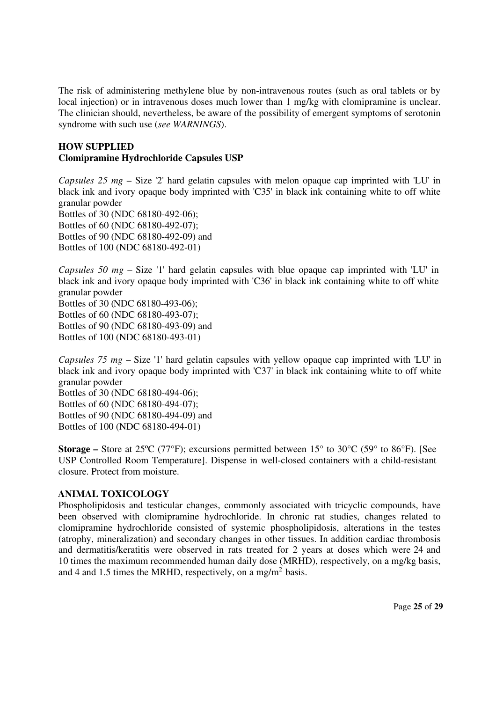<span id="page-25-0"></span>The risk of administering methylene blue by non-intravenous routes (such as oral tablets or by local injection) or in intravenous doses much lower than 1 mg/kg with clomipramine is unclear. The clinician should, nevertheless, be aware of the possibility of emergent symptoms of serotonin syndrome with such use (*see WARNINGS*).

# **HOW SUPPLIED Clomipramine Hydrochloride Capsules USP**

*Capsules 25 mg* – Size '2' hard gelatin capsules with melon opaque cap imprinted with 'LU' in black ink and ivory opaque body imprinted with 'C35' in black ink containing white to off white granular powder Bottles of 30 (NDC 68180-492-06); Bottles of 60 (NDC 68180-492-07); Bottles of 90 (NDC 68180-492-09) and Bottles of 100 (NDC 68180-492-01)

*Capsules 50 mg* – Size '1' hard gelatin capsules with blue opaque cap imprinted with 'LU' in black ink and ivory opaque body imprinted with 'C36' in black ink containing white to off white granular powder Bottles of 30 (NDC 68180-493-06); Bottles of 60 (NDC 68180-493-07); Bottles of 90 (NDC 68180-493-09) and Bottles of 100 (NDC 68180-493-01)

*Capsules 75 mg* – Size '1' hard gelatin capsules with yellow opaque cap imprinted with 'LU' in black ink and ivory opaque body imprinted with 'C37' in black ink containing white to off white granular powder Bottles of 30 (NDC 68180-494-06); Bottles of 60 (NDC 68180-494-07); Bottles of 90 (NDC 68180-494-09) and Bottles of 100 (NDC 68180-494-01)

**Storage –** Store at 25ºC (77°F); excursions permitted between 15° to 30°C (59° to 86°F). [See USP Controlled Room Temperature]. Dispense in well-closed containers with a child-resistant closure. Protect from moisture.

# **ANIMAL TOXICOLOGY**

Phospholipidosis and testicular changes, commonly associated with tricyclic compounds, have been observed with clomipramine hydrochloride. In chronic rat studies, changes related to clomipramine hydrochloride consisted of systemic phospholipidosis, alterations in the testes (atrophy, mineralization) and secondary changes in other tissues. In addition cardiac thrombosis and dermatitis/keratitis were observed in rats treated for 2 years at doses which were 24 and 10 times the maximum recommended human daily dose (MRHD), respectively, on a mg/kg basis, and 4 and 1.5 times the MRHD, respectively, on a mg/m<sup>2</sup> basis.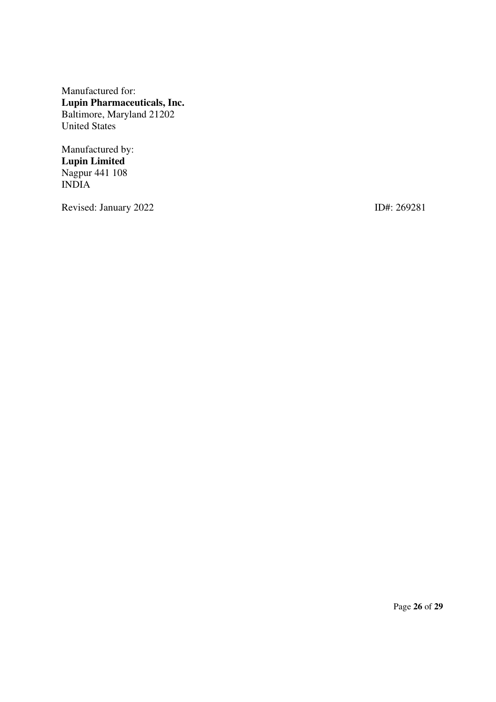Manufactured for: **Lupin Pharmaceuticals, Inc.**  Baltimore, Maryland 21202 United States

Manufactured by: **Lupin Limited**  Nagpur 441 108 INDIA

Revised: January 2022 **ID#: 269281**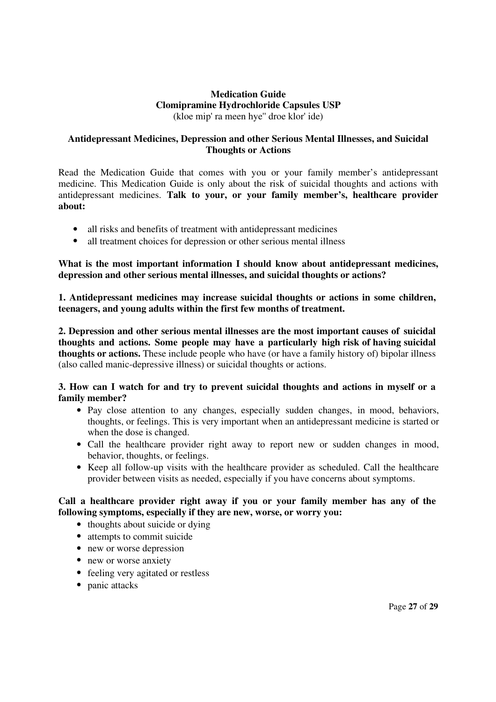## **Medication Guide Clomipramine Hydrochloride Capsules USP**  (kloe mip' ra meen hye'' droe klor' ide)

# <span id="page-27-0"></span>**Antidepressant Medicines, Depression and other Serious Mental Illnesses, and Suicidal Thoughts or Actions**

Read the Medication Guide that comes with you or your family member's antidepressant medicine. This Medication Guide is only about the risk of suicidal thoughts and actions with antidepressant medicines. **Talk to your, or your family member's, healthcare provider about:**

- all risks and benefits of treatment with antidepressant medicines
- all treatment choices for depression or other serious mental illness

**What is the most important information I should know about antidepressant medicines, depression and other serious mental illnesses, and suicidal thoughts or actions?**

**1. Antidepressant medicines may increase suicidal thoughts or actions in some children, teenagers, and young adults within the first few months of treatment.**

**2. Depression and other serious mental illnesses are the most important causes of suicidal thoughts and actions. Some people may have a particularly high risk of having suicidal thoughts or actions.** These include people who have (or have a family history of) bipolar illness (also called manic-depressive illness) or suicidal thoughts or actions.

# **3. How can I watch for and try to prevent suicidal thoughts and actions in myself or a family member?**

- Pay close attention to any changes, especially sudden changes, in mood, behaviors, thoughts, or feelings. This is very important when an antidepressant medicine is started or when the dose is changed.
- Call the healthcare provider right away to report new or sudden changes in mood, behavior, thoughts, or feelings.
- Keep all follow-up visits with the healthcare provider as scheduled. Call the healthcare provider between visits as needed, especially if you have concerns about symptoms.

# **Call a healthcare provider right away if you or your family member has any of the following symptoms, especially if they are new, worse, or worry you:**

- thoughts about suicide or dying
- attempts to commit suicide
- new or worse depression
- new or worse anxiety
- feeling very agitated or restless
- panic attacks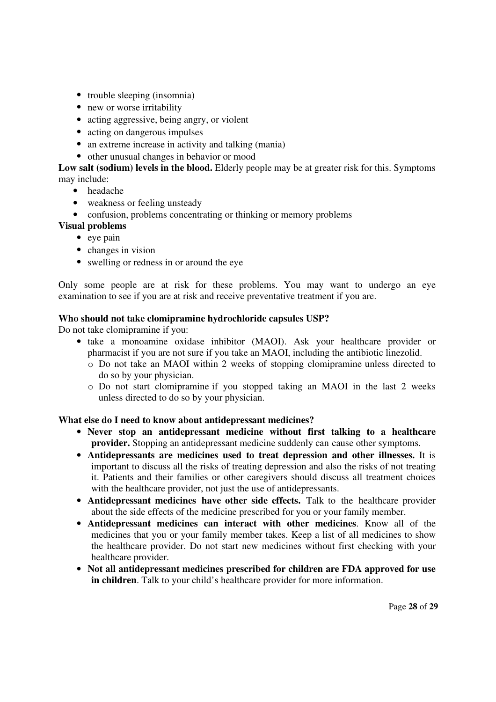- <span id="page-28-0"></span>• trouble sleeping (insomnia)
- new or worse irritability
- acting aggressive, being angry, or violent
- acting on dangerous impulses
- an extreme increase in activity and talking (mania)
- other unusual changes in behavior or mood

**Low salt (sodium) levels in the blood.** Elderly people may be at greater risk for this. Symptoms may include:

- headache
- weakness or feeling unsteady
- confusion, problems concentrating or thinking or memory problems

# **Visual problems**

- eye pain
- changes in vision
- swelling or redness in or around the eye

Only some people are at risk for these problems. You may want to undergo an eye examination to see if you are at risk and receive preventative treatment if you are.

# **Who should not take clomipramine hydrochloride capsules USP?**

Do not take clomipramine if you:

- take a monoamine oxidase inhibitor (MAOI). Ask your healthcare provider or pharmacist if you are not sure if you take an MAOI, including the antibiotic linezolid.
	- o Do not take an MAOI within 2 weeks of stopping clomipramine unless directed to do so by your physician.
	- o Do not start clomipramine if you stopped taking an MAOI in the last 2 weeks unless directed to do so by your physician.

# **What else do I need to know about antidepressant medicines?**

- **Never stop an antidepressant medicine without first talking to a healthcare provider.** Stopping an antidepressant medicine suddenly can cause other symptoms.
- **Antidepressants are medicines used to treat depression and other illnesses.** It is important to discuss all the risks of treating depression and also the risks of not treating it. Patients and their families or other caregivers should discuss all treatment choices with the healthcare provider, not just the use of antidepressants.
- **Antidepressant medicines have other side effects.** Talk to the healthcare provider about the side effects of the medicine prescribed for you or your family member.
- **Antidepressant medicines can interact with other medicines**. Know all of the medicines that you or your family member takes. Keep a list of all medicines to show the healthcare provider. Do not start new medicines without first checking with your healthcare provider.
- **Not all antidepressant medicines prescribed for children are FDA approved for use in children**. Talk to your child's healthcare provider for more information.